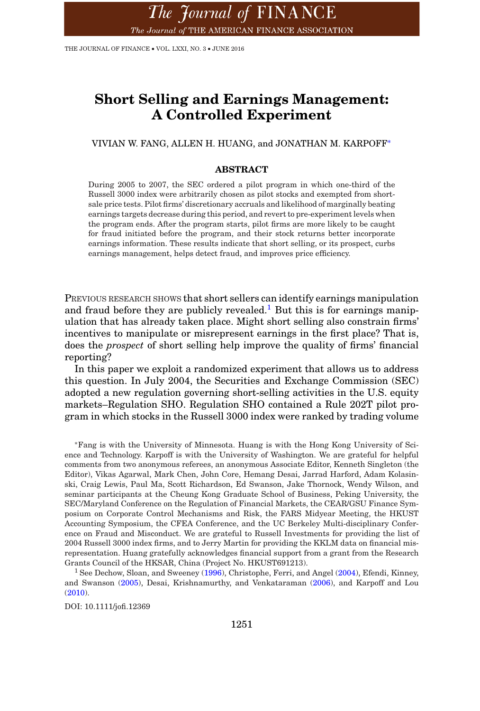THE JOURNAL OF FINANCE • VOL. LXXI, NO. 3 • JUNE 2016

# **Short Selling and Earnings Management: A Controlled Experiment**

### VIVIAN W. FANG, ALLEN H. HUANG, and JONATHAN M. KARPOFF[∗](#page-0-0)

### **ABSTRACT**

During 2005 to 2007, the SEC ordered a pilot program in which one-third of the Russell 3000 index were arbitrarily chosen as pilot stocks and exempted from shortsale price tests. Pilot firms' discretionary accruals and likelihood of marginally beating earnings targets decrease during this period, and revert to pre-experiment levels when the program ends. After the program starts, pilot firms are more likely to be caught for fraud initiated before the program, and their stock returns better incorporate earnings information. These results indicate that short selling, or its prospect, curbs earnings management, helps detect fraud, and improves price efficiency.

PREVIOUS RESEARCH SHOWS that short sellers can identify earnings manipulation and fraud before they are publicly revealed.<sup>1</sup> But this is for earnings manipulation that has already taken place. Might short selling also constrain firms' incentives to manipulate or misrepresent earnings in the first place? That is, does the *prospect* of short selling help improve the quality of firms' financial reporting?

In this paper we exploit a randomized experiment that allows us to address this question. In July 2004, the Securities and Exchange Commission (SEC) adopted a new regulation governing short-selling activities in the U.S. equity markets–Regulation SHO. Regulation SHO contained a Rule 202T pilot program in which stocks in the Russell 3000 index were ranked by trading volume

<span id="page-0-0"></span>∗Fang is with the University of Minnesota. Huang is with the Hong Kong University of Science and Technology. Karpoff is with the University of Washington. We are grateful for helpful comments from two anonymous referees, an anonymous Associate Editor, Kenneth Singleton (the Editor), Vikas Agarwal, Mark Chen, John Core, Hemang Desai, Jarrad Harford, Adam Kolasinski, Craig Lewis, Paul Ma, Scott Richardson, Ed Swanson, Jake Thornock, Wendy Wilson, and seminar participants at the Cheung Kong Graduate School of Business, Peking University, the SEC/Maryland Conference on the Regulation of Financial Markets, the CEAR/GSU Finance Symposium on Corporate Control Mechanisms and Risk, the FARS Midyear Meeting, the HKUST Accounting Symposium, the CFEA Conference, and the UC Berkeley Multi-disciplinary Conference on Fraud and Misconduct. We are grateful to Russell Investments for providing the list of 2004 Russell 3000 index firms, and to Jerry Martin for providing the KKLM data on financial misrepresentation. Huang gratefully acknowledges financial support from a grant from the Research Grants Council of the HKSAR, China (Project No. HKUST691213).

<span id="page-0-1"></span><sup>1</sup> See Dechow, Sloan, and Sweeney [\(1996\)](#page-40-0), Christophe, Ferri, and Angel [\(2004\)](#page-40-1), Efendi, Kinney, and Swanson [\(2005\)](#page-41-0), Desai, Krishnamurthy, and Venkataraman [\(2006\)](#page-41-1), and Karpoff and Lou [\(2010\)](#page-42-0).

DOI: 10.1111/jofi.12369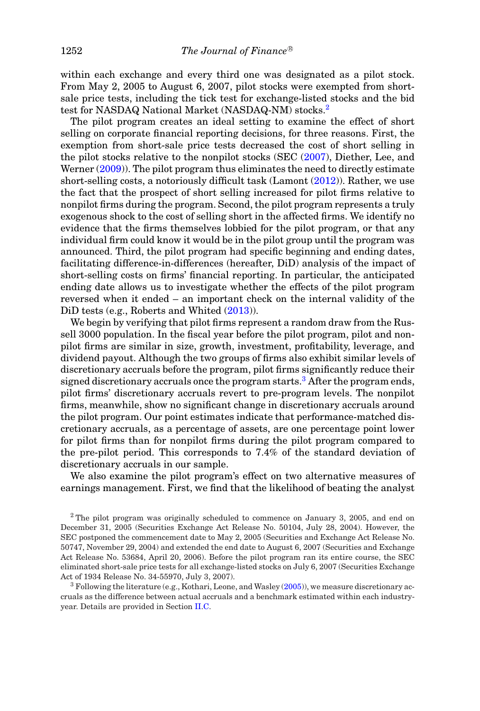within each exchange and every third one was designated as a pilot stock. From May 2, 2005 to August 6, 2007, pilot stocks were exempted from shortsale price tests, including the tick test for exchange-listed stocks and the bid test for NASDAQ National Market (NASDAQ-NM) stocks.<sup>2</sup>

The pilot program creates an ideal setting to examine the effect of short selling on corporate financial reporting decisions, for three reasons. First, the exemption from short-sale price tests decreased the cost of short selling in the pilot stocks relative to the nonpilot stocks (SEC [\(2007\)](#page-42-1), Diether, Lee, and Werner [\(2009\)](#page-41-2)). The pilot program thus eliminates the need to directly estimate short-selling costs, a notoriously difficult task (Lamont [\(2012\)](#page-42-2)). Rather, we use the fact that the prospect of short selling increased for pilot firms relative to nonpilot firms during the program. Second, the pilot program represents a truly exogenous shock to the cost of selling short in the affected firms. We identify no evidence that the firms themselves lobbied for the pilot program, or that any individual firm could know it would be in the pilot group until the program was announced. Third, the pilot program had specific beginning and ending dates, facilitating difference-in-differences (hereafter, DiD) analysis of the impact of short-selling costs on firms' financial reporting. In particular, the anticipated ending date allows us to investigate whether the effects of the pilot program reversed when it ended – an important check on the internal validity of the DiD tests (e.g., Roberts and Whited  $(2013)$ ).

We begin by verifying that pilot firms represent a random draw from the Russell 3000 population. In the fiscal year before the pilot program, pilot and nonpilot firms are similar in size, growth, investment, profitability, leverage, and dividend payout. Although the two groups of firms also exhibit similar levels of discretionary accruals before the program, pilot firms significantly reduce their signed discretionary accruals once the program starts.<sup>[3](#page-1-1)</sup> After the program ends, pilot firms' discretionary accruals revert to pre-program levels. The nonpilot firms, meanwhile, show no significant change in discretionary accruals around the pilot program. Our point estimates indicate that performance-matched discretionary accruals, as a percentage of assets, are one percentage point lower for pilot firms than for nonpilot firms during the pilot program compared to the pre-pilot period. This corresponds to 7.4% of the standard deviation of discretionary accruals in our sample.

We also examine the pilot program's effect on two alternative measures of earnings management. First, we find that the likelihood of beating the analyst

<span id="page-1-0"></span><sup>2</sup> The pilot program was originally scheduled to commence on January 3, 2005, and end on December 31, 2005 (Securities Exchange Act Release No. 50104, July 28, 2004). However, the SEC postponed the commencement date to May 2, 2005 (Securities and Exchange Act Release No. 50747, November 29, 2004) and extended the end date to August 6, 2007 (Securities and Exchange Act Release No. 53684, April 20, 2006). Before the pilot program ran its entire course, the SEC eliminated short-sale price tests for all exchange-listed stocks on July 6, 2007 (Securities Exchange Act of 1934 Release No. 34-55970, July 3, 2007).

<span id="page-1-1"></span><sup>3</sup> Following the literature (e.g., Kothari, Leone, and Wasley [\(2005\)](#page-42-4)), we measure discretionary accruals as the difference between actual accruals and a benchmark estimated within each industryyear. Details are provided in Section [II.](#page-10-0)C.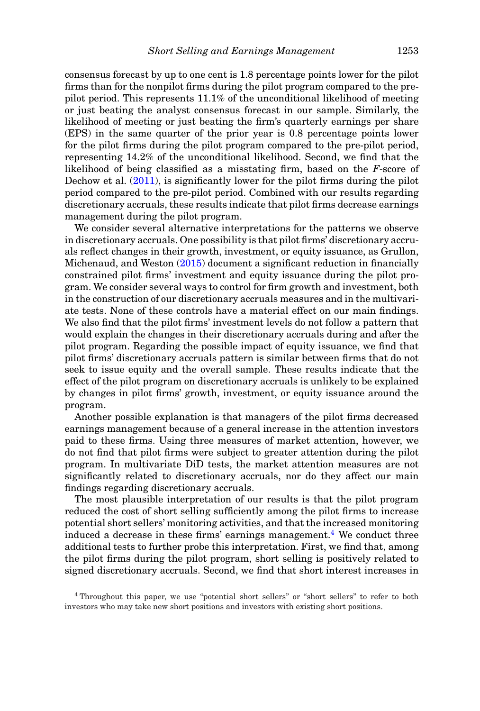consensus forecast by up to one cent is 1.8 percentage points lower for the pilot firms than for the nonpilot firms during the pilot program compared to the prepilot period. This represents 11.1% of the unconditional likelihood of meeting or just beating the analyst consensus forecast in our sample. Similarly, the likelihood of meeting or just beating the firm's quarterly earnings per share (EPS) in the same quarter of the prior year is 0.8 percentage points lower for the pilot firms during the pilot program compared to the pre-pilot period, representing 14.2% of the unconditional likelihood. Second, we find that the likelihood of being classified as a misstating firm, based on the *F*-score of Dechow et al. [\(2011\)](#page-40-2), is significantly lower for the pilot firms during the pilot period compared to the pre-pilot period. Combined with our results regarding discretionary accruals, these results indicate that pilot firms decrease earnings management during the pilot program.

We consider several alternative interpretations for the patterns we observe in discretionary accruals. One possibility is that pilot firms' discretionary accruals reflect changes in their growth, investment, or equity issuance, as Grullon, Michenaud, and Weston [\(2015\)](#page-41-3) document a significant reduction in financially constrained pilot firms' investment and equity issuance during the pilot program. We consider several ways to control for firm growth and investment, both in the construction of our discretionary accruals measures and in the multivariate tests. None of these controls have a material effect on our main findings. We also find that the pilot firms' investment levels do not follow a pattern that would explain the changes in their discretionary accruals during and after the pilot program. Regarding the possible impact of equity issuance, we find that pilot firms' discretionary accruals pattern is similar between firms that do not seek to issue equity and the overall sample. These results indicate that the effect of the pilot program on discretionary accruals is unlikely to be explained by changes in pilot firms' growth, investment, or equity issuance around the program.

Another possible explanation is that managers of the pilot firms decreased earnings management because of a general increase in the attention investors paid to these firms. Using three measures of market attention, however, we do not find that pilot firms were subject to greater attention during the pilot program. In multivariate DiD tests, the market attention measures are not significantly related to discretionary accruals, nor do they affect our main findings regarding discretionary accruals.

The most plausible interpretation of our results is that the pilot program reduced the cost of short selling sufficiently among the pilot firms to increase potential short sellers' monitoring activities, and that the increased monitoring induced a decrease in these firms' earnings management.<sup>4</sup> We conduct three additional tests to further probe this interpretation. First, we find that, among the pilot firms during the pilot program, short selling is positively related to signed discretionary accruals. Second, we find that short interest increases in

<span id="page-2-0"></span><sup>4</sup> Throughout this paper, we use "potential short sellers" or "short sellers" to refer to both investors who may take new short positions and investors with existing short positions.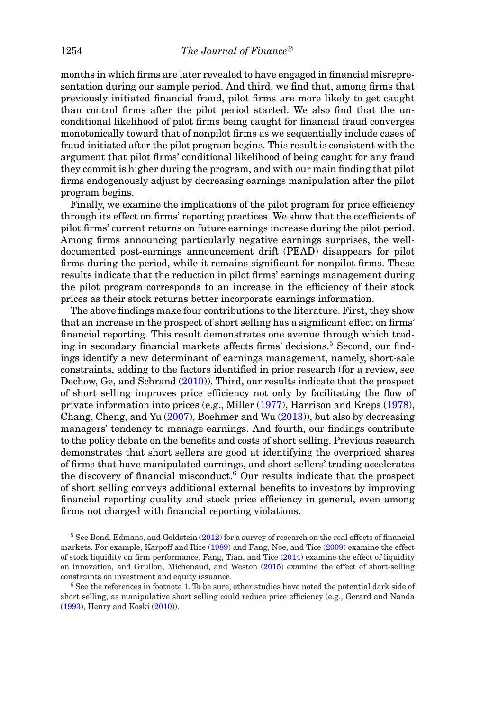months in which firms are later revealed to have engaged in financial misrepresentation during our sample period. And third, we find that, among firms that previously initiated financial fraud, pilot firms are more likely to get caught than control firms after the pilot period started. We also find that the unconditional likelihood of pilot firms being caught for financial fraud converges monotonically toward that of nonpilot firms as we sequentially include cases of fraud initiated after the pilot program begins. This result is consistent with the argument that pilot firms' conditional likelihood of being caught for any fraud they commit is higher during the program, and with our main finding that pilot firms endogenously adjust by decreasing earnings manipulation after the pilot program begins.

Finally, we examine the implications of the pilot program for price efficiency through its effect on firms' reporting practices. We show that the coefficients of pilot firms' current returns on future earnings increase during the pilot period. Among firms announcing particularly negative earnings surprises, the welldocumented post-earnings announcement drift (PEAD) disappears for pilot firms during the period, while it remains significant for nonpilot firms. These results indicate that the reduction in pilot firms' earnings management during the pilot program corresponds to an increase in the efficiency of their stock prices as their stock returns better incorporate earnings information.

The above findings make four contributions to the literature. First, they show that an increase in the prospect of short selling has a significant effect on firms' financial reporting. This result demonstrates one avenue through which trading in secondary financial markets affects firms' decisions[.5](#page-3-0) Second, our findings identify a new determinant of earnings management, namely, short-sale constraints, adding to the factors identified in prior research (for a review, see Dechow, Ge, and Schrand [\(2010\)](#page-40-3)). Third, our results indicate that the prospect of short selling improves price efficiency not only by facilitating the flow of private information into prices (e.g., Miller [\(1977\)](#page-42-5), Harrison and Kreps [\(1978\)](#page-41-4), Chang, Cheng, and Yu  $(2007)$ , Boehmer and Wu  $(2013)$ ), but also by decreasing managers' tendency to manage earnings. And fourth, our findings contribute to the policy debate on the benefits and costs of short selling. Previous research demonstrates that short sellers are good at identifying the overpriced shares of firms that have manipulated earnings, and short sellers' trading accelerates the discovery of financial misconduct.<sup>[6](#page-3-1)</sup> Our results indicate that the prospect of short selling conveys additional external benefits to investors by improving financial reporting quality and stock price efficiency in general, even among firms not charged with financial reporting violations.

<span id="page-3-0"></span><sup>5</sup> See Bond, Edmans, and Goldstein [\(2012\)](#page-40-6) for a survey of research on the real effects of financial markets. For example, Karpoff and Rice [\(1989\)](#page-42-6) and Fang, Noe, and Tice [\(2009\)](#page-41-5) examine the effect of stock liquidity on firm performance, Fang, Tian, and Tice [\(2014\)](#page-41-6) examine the effect of liquidity on innovation, and Grullon, Michenaud, and Weston [\(2015\)](#page-41-3) examine the effect of short-selling constraints on investment and equity issuance.

<span id="page-3-1"></span><sup>6</sup> See the references in footnote 1. To be sure, other studies have noted the potential dark side of short selling, as manipulative short selling could reduce price efficiency (e.g., Gerard and Nanda [\(1993\)](#page-41-7), Henry and Koski [\(2010\)](#page-41-8)).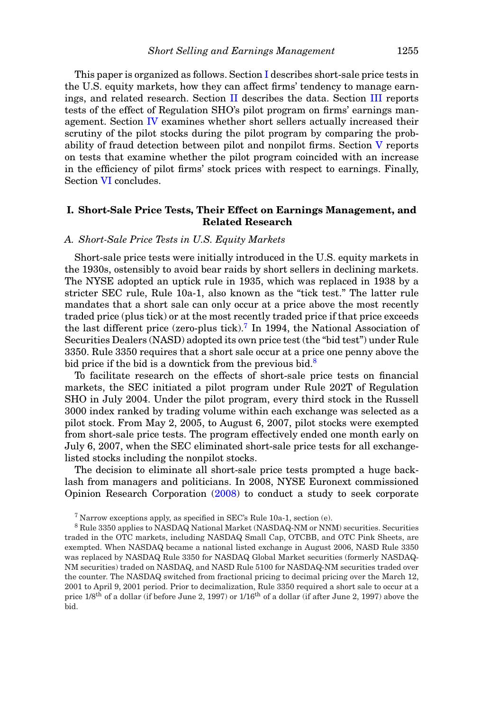This paper is organized as follows. Section [I](#page-4-0) describes short-sale price tests in the U.S. equity markets, how they can affect firms' tendency to manage earnings, and related research. Section [II](#page-10-0) describes the data. Section [III](#page-15-0) reports tests of the effect of Regulation SHO's pilot program on firms' earnings management. Section [IV](#page-29-0) examines whether short sellers actually increased their scrutiny of the pilot stocks during the pilot program by comparing the probability of fraud detection between pilot and nonpilot firms. Section [V](#page-31-0) reports on tests that examine whether the pilot program coincided with an increase in the efficiency of pilot firms' stock prices with respect to earnings. Finally, Section [VI](#page-35-0) concludes.

# <span id="page-4-0"></span>**I. Short-Sale Price Tests, Their Effect on Earnings Management, and Related Research**

### *A. Short-Sale Price Tests in U.S. Equity Markets*

Short-sale price tests were initially introduced in the U.S. equity markets in the 1930s, ostensibly to avoid bear raids by short sellers in declining markets. The NYSE adopted an uptick rule in 1935, which was replaced in 1938 by a stricter SEC rule, Rule 10a-1, also known as the "tick test." The latter rule mandates that a short sale can only occur at a price above the most recently traded price (plus tick) or at the most recently traded price if that price exceeds the last different price (zero-plus tick).<sup>[7](#page-4-1)</sup> In 1994, the National Association of Securities Dealers (NASD) adopted its own price test (the "bid test") under Rule 3350. Rule 3350 requires that a short sale occur at a price one penny above the bid price if the bid is a downtick from the previous bid. $8$ 

To facilitate research on the effects of short-sale price tests on financial markets, the SEC initiated a pilot program under Rule 202T of Regulation SHO in July 2004. Under the pilot program, every third stock in the Russell 3000 index ranked by trading volume within each exchange was selected as a pilot stock. From May 2, 2005, to August 6, 2007, pilot stocks were exempted from short-sale price tests. The program effectively ended one month early on July 6, 2007, when the SEC eliminated short-sale price tests for all exchangelisted stocks including the nonpilot stocks.

The decision to eliminate all short-sale price tests prompted a huge backlash from managers and politicians. In 2008, NYSE Euronext commissioned Opinion Research Corporation [\(2008\)](#page-42-7) to conduct a study to seek corporate

<span id="page-4-2"></span><span id="page-4-1"></span><sup>7</sup> Narrow exceptions apply, as specified in SEC's Rule 10a-1, section (e).

<sup>8</sup> Rule 3350 applies to NASDAQ National Market (NASDAQ-NM or NNM) securities. Securities traded in the OTC markets, including NASDAQ Small Cap, OTCBB, and OTC Pink Sheets, are exempted. When NASDAQ became a national listed exchange in August 2006, NASD Rule 3350 was replaced by NASDAQ Rule 3350 for NASDAQ Global Market securities (formerly NASDAQ-NM securities) traded on NASDAQ, and NASD Rule 5100 for NASDAQ-NM securities traded over the counter. The NASDAQ switched from fractional pricing to decimal pricing over the March 12, 2001 to April 9, 2001 period. Prior to decimalization, Rule 3350 required a short sale to occur at a price  $1/8$ <sup>th</sup> of a dollar (if before June 2, 1997) or  $1/16$ <sup>th</sup> of a dollar (if after June 2, 1997) above the bid.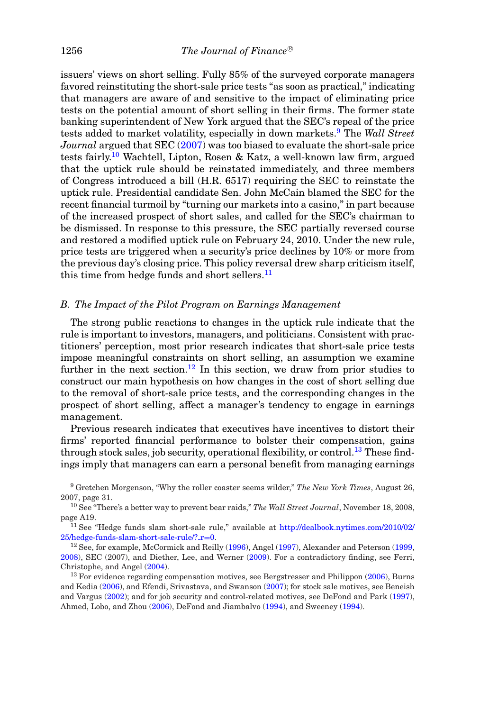issuers' views on short selling. Fully 85% of the surveyed corporate managers favored reinstituting the short-sale price tests "as soon as practical," indicating that managers are aware of and sensitive to the impact of eliminating price tests on the potential amount of short selling in their firms. The former state banking superintendent of New York argued that the SEC's repeal of the price tests added to market volatility, especially in down markets[.9](#page-5-0) The *Wall Street Journal* argued that SEC [\(2007\)](#page-42-1) was too biased to evaluate the short-sale price tests fairly.<sup>10</sup> Wachtell, Lipton, Rosen & Katz, a well-known law firm, argued that the uptick rule should be reinstated immediately, and three members of Congress introduced a bill (H.R. 6517) requiring the SEC to reinstate the uptick rule. Presidential candidate Sen. John McCain blamed the SEC for the recent financial turmoil by "turning our markets into a casino," in part because of the increased prospect of short sales, and called for the SEC's chairman to be dismissed. In response to this pressure, the SEC partially reversed course and restored a modified uptick rule on February 24, 2010. Under the new rule, price tests are triggered when a security's price declines by 10% or more from the previous day's closing price. This policy reversal drew sharp criticism itself, this time from hedge funds and short sellers.<sup>[11](#page-5-2)</sup>

# *B. The Impact of the Pilot Program on Earnings Management*

The strong public reactions to changes in the uptick rule indicate that the rule is important to investors, managers, and politicians. Consistent with practitioners' perception, most prior research indicates that short-sale price tests impose meaningful constraints on short selling, an assumption we examine further in the next section.<sup>[12](#page-5-3)</sup> In this section, we draw from prior studies to construct our main hypothesis on how changes in the cost of short selling due to the removal of short-sale price tests, and the corresponding changes in the prospect of short selling, affect a manager's tendency to engage in earnings management.

Previous research indicates that executives have incentives to distort their firms' reported financial performance to bolster their compensation, gains through stock sales, job security, operational flexibility, or control.<sup>13</sup> These findings imply that managers can earn a personal benefit from managing earnings

<span id="page-5-0"></span><sup>9</sup> Gretchen Morgenson, "Why the roller coaster seems wilder," *The New York Times*, August 26, 2007, page 31.

<span id="page-5-1"></span><sup>10</sup> See "There's a better way to prevent bear raids," *The Wall Street Journal*, November 18, 2008, page A19.

<span id="page-5-2"></span><sup>11</sup> See "Hedge funds slam short-sale rule," available at [http://dealbook.nytimes.com/2010/02/](http://dealbook.nytimes.com/2010/02/25/hedge-funds-slam-short-sale-rule/?_r=0) [25/hedge-funds-slam-short-sale-rule/?](http://dealbook.nytimes.com/2010/02/25/hedge-funds-slam-short-sale-rule/?_r=0)  $r=0$ .<br><sup>12</sup> See, for example, McCormick and Reilly [\(1996\)](#page-42-8), Angel [\(1997\)](#page-39-0), Alexander and Peterson [\(1999,](#page-39-1)

<span id="page-5-3"></span>[2008\)](#page-39-2), SEC (2007), and Diether, Lee, and Werner [\(2009\)](#page-41-2). For a contradictory finding, see Ferri, Christophe, and Angel [\(2004\)](#page-41-9).

<span id="page-5-4"></span><sup>13</sup> For evidence regarding compensation motives, see Bergstresser and Philippon [\(2006\)](#page-40-7), Burns and Kedia [\(2006\)](#page-40-8), and Efendi, Srivastava, and Swanson [\(2007\)](#page-41-10); for stock sale motives, see Beneish and Vargus [\(2002\)](#page-40-9); and for job security and control-related motives, see DeFond and Park [\(1997\)](#page-41-11), Ahmed, Lobo, and Zhou [\(2006\)](#page-39-3), DeFond and Jiambalvo [\(1994\)](#page-40-10), and Sweeney [\(1994\)](#page-42-9).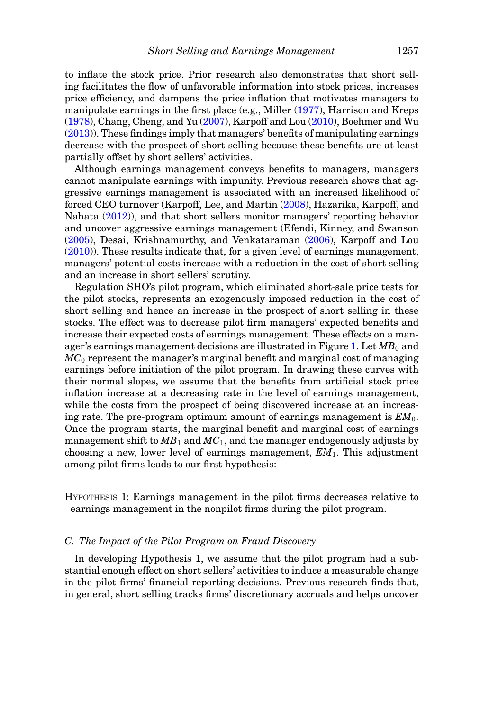to inflate the stock price. Prior research also demonstrates that short selling facilitates the flow of unfavorable information into stock prices, increases price efficiency, and dampens the price inflation that motivates managers to manipulate earnings in the first place (e.g., Miller [\(1977\)](#page-42-5), Harrison and Kreps [\(1978\)](#page-41-4), Chang, Cheng, and Yu [\(2007\)](#page-40-4), Karpoff and Lou [\(2010\)](#page-42-0), Boehmer and Wu [\(2013\)](#page-40-5)). These findings imply that managers' benefits of manipulating earnings decrease with the prospect of short selling because these benefits are at least partially offset by short sellers' activities.

Although earnings management conveys benefits to managers, managers cannot manipulate earnings with impunity. Previous research shows that aggressive earnings management is associated with an increased likelihood of forced CEO turnover (Karpoff, Lee, and Martin [\(2008\)](#page-41-12), Hazarika, Karpoff, and Nahata [\(2012\)](#page-41-13)), and that short sellers monitor managers' reporting behavior and uncover aggressive earnings management (Efendi, Kinney, and Swanson [\(2005\)](#page-41-0), Desai, Krishnamurthy, and Venkataraman [\(2006\)](#page-41-1), Karpoff and Lou [\(2010\)](#page-42-0)). These results indicate that, for a given level of earnings management, managers' potential costs increase with a reduction in the cost of short selling and an increase in short sellers' scrutiny.

Regulation SHO's pilot program, which eliminated short-sale price tests for the pilot stocks, represents an exogenously imposed reduction in the cost of short selling and hence an increase in the prospect of short selling in these stocks. The effect was to decrease pilot firm managers' expected benefits and increase their expected costs of earnings management. These effects on a man-ager's earnings management decisions are illustrated in Figure [1.](#page-7-0) Let  $MB_0$  and *MC*<sup>0</sup> represent the manager's marginal benefit and marginal cost of managing earnings before initiation of the pilot program. In drawing these curves with their normal slopes, we assume that the benefits from artificial stock price inflation increase at a decreasing rate in the level of earnings management, while the costs from the prospect of being discovered increase at an increasing rate. The pre-program optimum amount of earnings management is *EM*0. Once the program starts, the marginal benefit and marginal cost of earnings management shift to  $MB_1$  and  $MC_1$ , and the manager endogenously adjusts by choosing a new, lower level of earnings management, *EM*1. This adjustment among pilot firms leads to our first hypothesis:

HYPOTHESIS 1: Earnings management in the pilot firms decreases relative to earnings management in the nonpilot firms during the pilot program.

# *C. The Impact of the Pilot Program on Fraud Discovery*

In developing Hypothesis 1, we assume that the pilot program had a substantial enough effect on short sellers' activities to induce a measurable change in the pilot firms' financial reporting decisions. Previous research finds that, in general, short selling tracks firms' discretionary accruals and helps uncover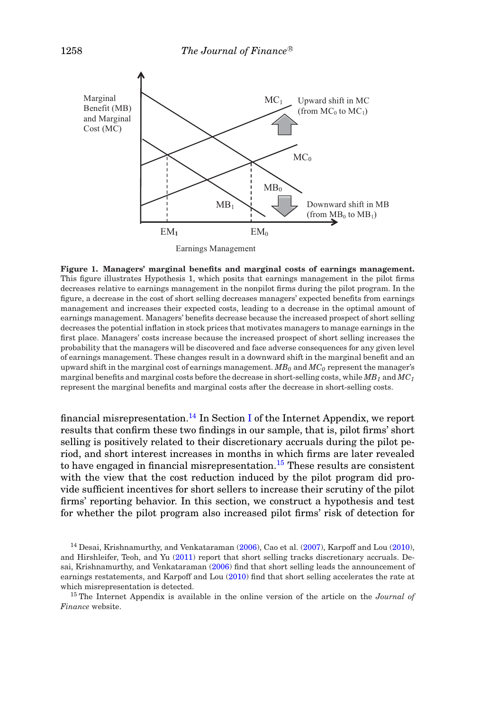

Earnings Management

<span id="page-7-0"></span>**Figure 1. Managers' marginal benefits and marginal costs of earnings management.** This figure illustrates Hypothesis 1, which posits that earnings management in the pilot firms decreases relative to earnings management in the nonpilot firms during the pilot program. In the figure, a decrease in the cost of short selling decreases managers' expected benefits from earnings management and increases their expected costs, leading to a decrease in the optimal amount of earnings management. Managers' benefits decrease because the increased prospect of short selling decreases the potential inflation in stock prices that motivates managers to manage earnings in the first place. Managers' costs increase because the increased prospect of short selling increases the probability that the managers will be discovered and face adverse consequences for any given level of earnings management. These changes result in a downward shift in the marginal benefit and an upward shift in the marginal cost of earnings management.  $MB<sub>0</sub>$  and  $MC<sub>0</sub>$  represent the manager's marginal benefits and marginal costs before the decrease in short-selling costs, while  $MB_1$  and  $MC_1$ represent the marginal benefits and marginal costs after the decrease in short-selling costs.

financial misrepresentation.<sup>14</sup> [I](#page-4-0)n Section I of the Internet Appendix, we report results that confirm these two findings in our sample, that is, pilot firms' short selling is positively related to their discretionary accruals during the pilot period, and short interest increases in months in which firms are later revealed to have engaged in financial misrepresentation.<sup>[15](#page-7-2)</sup> These results are consistent with the view that the cost reduction induced by the pilot program did provide sufficient incentives for short sellers to increase their scrutiny of the pilot firms' reporting behavior. In this section, we construct a hypothesis and test for whether the pilot program also increased pilot firms' risk of detection for

<span id="page-7-1"></span><sup>14</sup> Desai, Krishnamurthy, and Venkataraman [\(2006\)](#page-41-1), Cao et al. [\(2007\)](#page-40-11), Karpoff and Lou [\(2010\)](#page-42-0), and Hirshleifer, Teoh, and Yu [\(2011\)](#page-41-14) report that short selling tracks discretionary accruals. Desai, Krishnamurthy, and Venkataraman [\(2006\)](#page-41-1) find that short selling leads the announcement of earnings restatements, and Karpoff and Lou [\(2010\)](#page-42-0) find that short selling accelerates the rate at which misrepresentation is detected.

<span id="page-7-2"></span><sup>15</sup> The Internet Appendix is available in the online version of the article on the *Journal of Finance* website.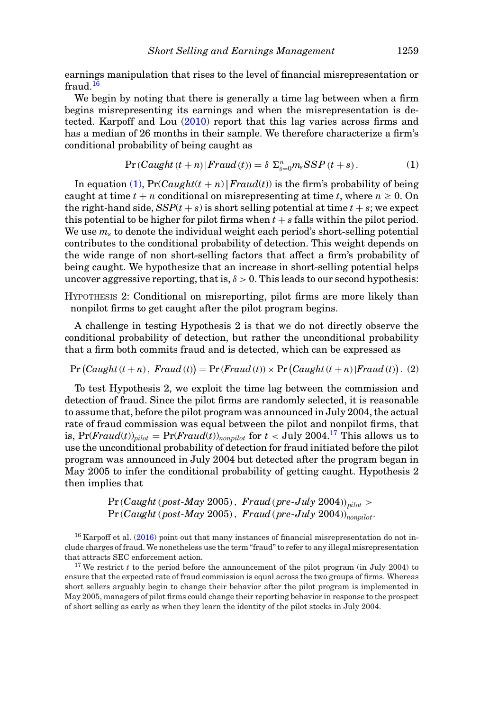earnings manipulation that rises to the level of financial misrepresentation or fraud[.16](#page-8-0)

We begin by noting that there is generally a time lag between when a firm begins misrepresenting its earnings and when the misrepresentation is detected. Karpoff and Lou [\(2010\)](#page-42-0) report that this lag varies across firms and has a median of 26 months in their sample. We therefore characterize a firm's conditional probability of being caught as

<span id="page-8-1"></span>
$$
Pr(Caught(t+n)|\text{ } \text{ }Fraud(t)) = \delta \ \Sigma_{s=0}^{n} m_s \text{SSP}(t+s). \tag{1}
$$

In equation [\(1\),](#page-8-1)  $Pr(Caught(t + n) | Frau(t))$  is the firm's probability of being caught at time  $t + n$  conditional on misrepresenting at time  $t$ , where  $n \ge 0$ . On the right-hand side,  $SSP(t + s)$  is short selling potential at time  $t + s$ ; we expect this potential to be higher for pilot firms when  $t + s$  falls within the pilot period. We use *ms* to denote the individual weight each period's short-selling potential contributes to the conditional probability of detection. This weight depends on the wide range of non short-selling factors that affect a firm's probability of being caught. We hypothesize that an increase in short-selling potential helps uncover aggressive reporting, that is,  $\delta > 0$ . This leads to our second hypothesis:

HYPOTHESIS 2: Conditional on misreporting, pilot firms are more likely than nonpilot firms to get caught after the pilot program begins.

A challenge in testing Hypothesis 2 is that we do not directly observe the conditional probability of detection, but rather the unconditional probability that a firm both commits fraud and is detected, which can be expressed as

<span id="page-8-3"></span>
$$
Pr(Caught(t + n), \, \, \text{Fraud}(t)) = Pr(\text{Fraud}(t)) \times Pr(Caught(t + n) | \text{Fraud}(t)). \text{ (2)}
$$

To test Hypothesis 2, we exploit the time lag between the commission and detection of fraud. Since the pilot firms are randomly selected, it is reasonable to assume that, before the pilot program was announced in July 2004, the actual rate of fraud commission was equal between the pilot and nonpilot firms, that is,  $Pr(Fraud(t))_{pilot} = Pr(Fraud(t))_{nonpilot}$  for  $t <$  July 2004.<sup>17</sup> This allows us to use the unconditional probability of detection for fraud initiated before the pilot program was announced in July 2004 but detected after the program began in May 2005 to infer the conditional probability of getting caught. Hypothesis 2 then implies that

Pr (*Caught* (*post*-*May* 2005) , *Fraud*(*pre*-*July* 2004))*pilot* > Pr (*Caught* (*post*-*May* 2005) , *Fraud*(*pre*-*July* 2004))*nonpilot*.

<span id="page-8-0"></span><sup>16</sup> Karpoff et al. [\(2016\)](#page-41-15) point out that many instances of financial misrepresentation do not include charges of fraud. We nonetheless use the term "fraud" to refer to any illegal misrepresentation that attracts SEC enforcement action.

<span id="page-8-2"></span><sup>17</sup> We restrict *t* to the period before the announcement of the pilot program (in July 2004) to ensure that the expected rate of fraud commission is equal across the two groups of firms. Whereas short sellers arguably begin to change their behavior after the pilot program is implemented in May 2005, managers of pilot firms could change their reporting behavior in response to the prospect of short selling as early as when they learn the identity of the pilot stocks in July 2004.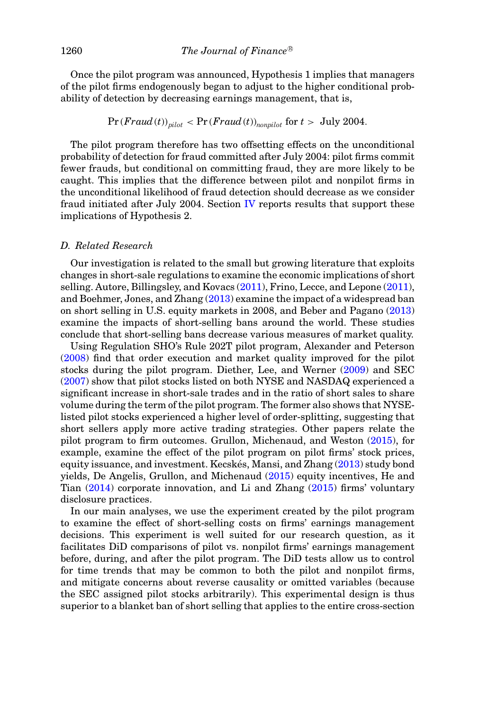Once the pilot program was announced, Hypothesis 1 implies that managers of the pilot firms endogenously began to adjust to the higher conditional probability of detection by decreasing earnings management, that is,

$$
Pr(Fraud(t))_{pilot} < Pr(Fraud(t))_{nonpilot} \text{ for } t > \text{ July 2004.}
$$

The pilot program therefore has two offsetting effects on the unconditional probability of detection for fraud committed after July 2004: pilot firms commit fewer frauds, but conditional on committing fraud, they are more likely to be caught. This implies that the difference between pilot and nonpilot firms in the unconditional likelihood of fraud detection should decrease as we consider fraud initiated after July 2004. Section  $\overline{IV}$  $\overline{IV}$  $\overline{IV}$  reports results that support these implications of Hypothesis 2.

### *D. Related Research*

Our investigation is related to the small but growing literature that exploits changes in short-sale regulations to examine the economic implications of short selling. Autore, Billingsley, and Kovacs [\(2011\)](#page-39-4), Frino, Lecce, and Lepone [\(2011\)](#page-41-16), and Boehmer, Jones, and Zhang [\(2013\)](#page-40-12) examine the impact of a widespread ban on short selling in U.S. equity markets in 2008, and Beber and Pagano [\(2013\)](#page-40-13) examine the impacts of short-selling bans around the world. These studies conclude that short-selling bans decrease various measures of market quality.

Using Regulation SHO's Rule 202T pilot program, Alexander and Peterson [\(2008\)](#page-39-2) find that order execution and market quality improved for the pilot stocks during the pilot program. Diether, Lee, and Werner [\(2009\)](#page-41-2) and SEC [\(2007\)](#page-42-1) show that pilot stocks listed on both NYSE and NASDAQ experienced a significant increase in short-sale trades and in the ratio of short sales to share volume during the term of the pilot program. The former also shows that NYSElisted pilot stocks experienced a higher level of order-splitting, suggesting that short sellers apply more active trading strategies. Other papers relate the pilot program to firm outcomes. Grullon, Michenaud, and Weston [\(2015\)](#page-41-3), for example, examine the effect of the pilot program on pilot firms' stock prices, equity issuance, and investment. Kecskés, Mansi, and Zhang ([2013\)](#page-42-10) study bond yields, De Angelis, Grullon, and Michenaud [\(2015\)](#page-40-14) equity incentives, He and Tian [\(2014\)](#page-41-17) corporate innovation, and Li and Zhang [\(2015\)](#page-42-11) firms' voluntary disclosure practices.

In our main analyses, we use the experiment created by the pilot program to examine the effect of short-selling costs on firms' earnings management decisions. This experiment is well suited for our research question, as it facilitates DiD comparisons of pilot vs. nonpilot firms' earnings management before, during, and after the pilot program. The DiD tests allow us to control for time trends that may be common to both the pilot and nonpilot firms, and mitigate concerns about reverse causality or omitted variables (because the SEC assigned pilot stocks arbitrarily). This experimental design is thus superior to a blanket ban of short selling that applies to the entire cross-section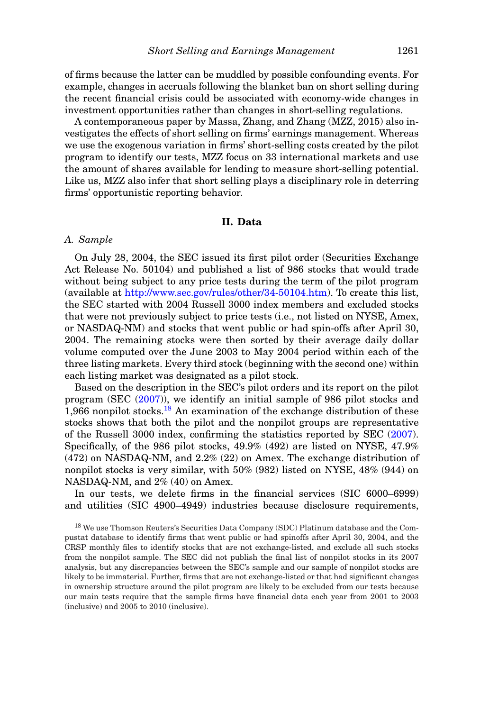of firms because the latter can be muddled by possible confounding events. For example, changes in accruals following the blanket ban on short selling during the recent financial crisis could be associated with economy-wide changes in investment opportunities rather than changes in short-selling regulations.

A contemporaneous paper by Massa, Zhang, and Zhang (MZZ, 2015) also investigates the effects of short selling on firms' earnings management. Whereas we use the exogenous variation in firms' short-selling costs created by the pilot program to identify our tests, MZZ focus on 33 international markets and use the amount of shares available for lending to measure short-selling potential. Like us, MZZ also infer that short selling plays a disciplinary role in deterring firms' opportunistic reporting behavior.

# **II. Data**

### <span id="page-10-0"></span>*A. Sample*

On July 28, 2004, the SEC issued its first pilot order (Securities Exchange Act Release No. 50104) and published a list of 986 stocks that would trade without being subject to any price tests during the term of the pilot program (available at [http://www.sec.gov/rules/other/34-50104.htm\)](http://www.sec.gov/rules/other/34-50104.htm). To create this list, the SEC started with 2004 Russell 3000 index members and excluded stocks that were not previously subject to price tests (i.e., not listed on NYSE, Amex, or NASDAQ-NM) and stocks that went public or had spin-offs after April 30, 2004. The remaining stocks were then sorted by their average daily dollar volume computed over the June 2003 to May 2004 period within each of the three listing markets. Every third stock (beginning with the second one) within each listing market was designated as a pilot stock.

Based on the description in the SEC's pilot orders and its report on the pilot program (SEC [\(2007\)](#page-42-1)), we identify an initial sample of 986 pilot stocks and 1,966 nonpilot stocks.<sup>18</sup> An examination of the exchange distribution of these stocks shows that both the pilot and the nonpilot groups are representative of the Russell 3000 index, confirming the statistics reported by SEC [\(2007\)](#page-42-1). Specifically, of the 986 pilot stocks, 49.9% (492) are listed on NYSE, 47.9% (472) on NASDAQ-NM, and 2.2% (22) on Amex. The exchange distribution of nonpilot stocks is very similar, with 50% (982) listed on NYSE, 48% (944) on NASDAQ-NM, and 2% (40) on Amex.

In our tests, we delete firms in the financial services (SIC 6000–6999) and utilities (SIC 4900–4949) industries because disclosure requirements,

<span id="page-10-1"></span><sup>18</sup> We use Thomson Reuters's Securities Data Company (SDC) Platinum database and the Compustat database to identify firms that went public or had spinoffs after April 30, 2004, and the CRSP monthly files to identify stocks that are not exchange-listed, and exclude all such stocks from the nonpilot sample. The SEC did not publish the final list of nonpilot stocks in its 2007 analysis, but any discrepancies between the SEC's sample and our sample of nonpilot stocks are likely to be immaterial. Further, firms that are not exchange-listed or that had significant changes in ownership structure around the pilot program are likely to be excluded from our tests because our main tests require that the sample firms have financial data each year from 2001 to 2003 (inclusive) and 2005 to 2010 (inclusive).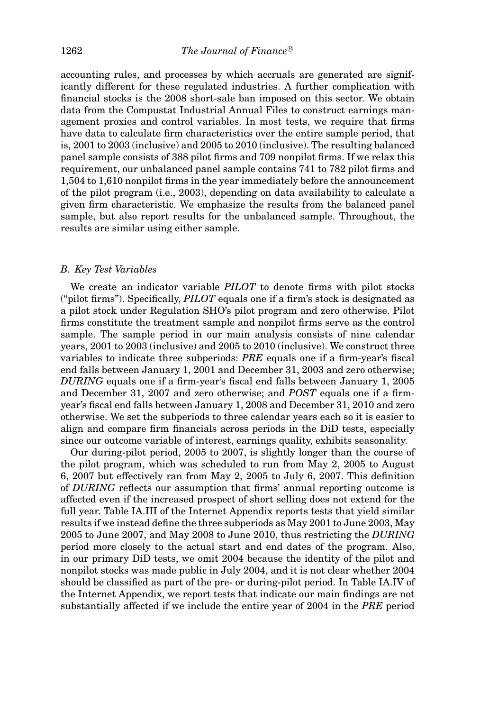accounting rules, and processes by which accruals are generated are significantly different for these regulated industries. A further complication with financial stocks is the 2008 short-sale ban imposed on this sector. We obtain data from the Compustat Industrial Annual Files to construct earnings management proxies and control variables. In most tests, we require that firms have data to calculate firm characteristics over the entire sample period, that is, 2001 to 2003 (inclusive) and 2005 to 2010 (inclusive). The resulting balanced panel sample consists of 388 pilot firms and 709 nonpilot firms. If we relax this requirement, our unbalanced panel sample contains 741 to 782 pilot firms and 1,504 to 1,610 nonpilot firms in the year immediately before the announcement of the pilot program (i.e., 2003), depending on data availability to calculate a given firm characteristic. We emphasize the results from the balanced panel sample, but also report results for the unbalanced sample. Throughout, the results are similar using either sample.

### *B. Key Test Variables*

We create an indicator variable *PILOT* to denote firms with pilot stocks ("pilot firms"). Specifically, *PILOT* equals one if a firm's stock is designated as a pilot stock under Regulation SHO's pilot program and zero otherwise. Pilot firms constitute the treatment sample and nonpilot firms serve as the control sample. The sample period in our main analysis consists of nine calendar years, 2001 to 2003 (inclusive) and 2005 to 2010 (inclusive). We construct three variables to indicate three subperiods: *PRE* equals one if a firm-year's fiscal end falls between January 1, 2001 and December 31, 2003 and zero otherwise; *DURING* equals one if a firm-year's fiscal end falls between January 1, 2005 and December 31, 2007 and zero otherwise; and *POST* equals one if a firmyear's fiscal end falls between January 1, 2008 and December 31, 2010 and zero otherwise. We set the subperiods to three calendar years each so it is easier to align and compare firm financials across periods in the DiD tests, especially since our outcome variable of interest, earnings quality, exhibits seasonality.

Our during-pilot period, 2005 to 2007, is slightly longer than the course of the pilot program, which was scheduled to run from May 2, 2005 to August 6, 2007 but effectively ran from May 2, 2005 to July 6, 2007. This definition of *DURING* reflects our assumption that firms' annual reporting outcome is affected even if the increased prospect of short selling does not extend for the full year. Table IA.III of the Internet Appendix reports tests that yield similar results if we instead define the three subperiods as May 2001 to June 2003, May 2005 to June 2007, and May 2008 to June 2010, thus restricting the *DURING* period more closely to the actual start and end dates of the program. Also, in our primary DiD tests, we omit 2004 because the identity of the pilot and nonpilot stocks was made public in July 2004, and it is not clear whether 2004 should be classified as part of the pre- or during-pilot period. In Table IA.IV of the Internet Appendix, we report tests that indicate our main findings are not substantially affected if we include the entire year of 2004 in the *PRE* period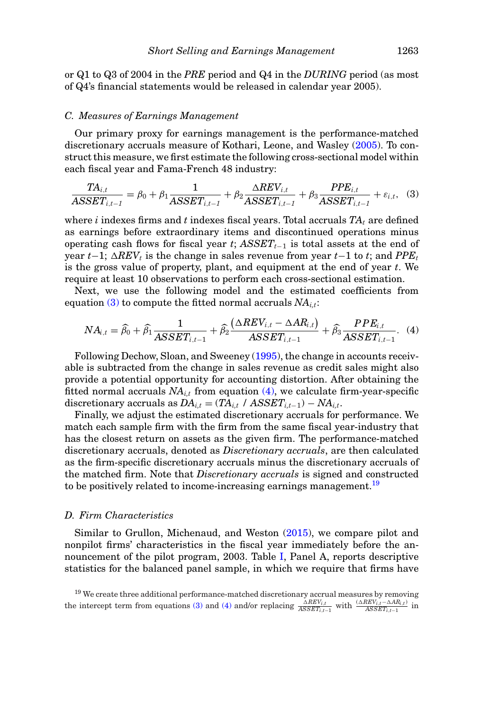or Q1 to Q3 of 2004 in the *PRE* period and Q4 in the *DURING* period (as most of Q4's financial statements would be released in calendar year 2005).

### *C. Measures of Earnings Management*

Our primary proxy for earnings management is the performance-matched discretionary accruals measure of Kothari, Leone, and Wasley [\(2005\)](#page-42-4). To construct this measure, we first estimate the following cross-sectional model within each fiscal year and Fama-French 48 industry:

<span id="page-12-0"></span>
$$
\frac{TA_{i,t}}{ASSET_{i,t-1}} = \beta_0 + \beta_1 \frac{1}{ASSET_{i,t-1}} + \beta_2 \frac{\Delta REV_{i,t}}{ASSET_{i,t-1}} + \beta_3 \frac{PPE_{i,t}}{ASSET_{i,t-1}} + \varepsilon_{i,t},
$$
 (3)

where  $i$  indexes firms and  $t$  indexes fiscal years. Total accruals  $TA_t$  are defined as earnings before extraordinary items and discontinued operations minus operating cash flows for fiscal year *t*; *ASSETt*−<sup>1</sup> is total assets at the end of year  $t-1$ ;  $\triangle REV_t$  is the change in sales revenue from year  $t-1$  to  $t$ ; and  $PPE_t$ is the gross value of property, plant, and equipment at the end of year *t*. We require at least 10 observations to perform each cross-sectional estimation.

Next, we use the following model and the estimated coefficients from equation  $(3)$  to compute the fitted normal accruals  $NA_{i,t}$ :

<span id="page-12-1"></span>
$$
NA_{i,t} = \widehat{\beta}_0 + \widehat{\beta}_1 \frac{1}{ASSET_{i,t-1}} + \widehat{\beta}_2 \frac{(\Delta REV_{i,t} - \Delta AR_{i,t})}{ASSET_{i,t-1}} + \widehat{\beta}_3 \frac{PPE_{i,t}}{ASSET_{i,t-1}}.
$$
 (4)

Following Dechow, Sloan, and Sweeney [\(1995\)](#page-40-15), the change in accounts receivable is subtracted from the change in sales revenue as credit sales might also provide a potential opportunity for accounting distortion. After obtaining the fitted normal accruals  $NA_{i,t}$  from equation [\(4\),](#page-12-1) we calculate firm-year-specific discretionary accruals as  $DA_{i,t} = (TA_{i,t} / ASSET_{i,t-1}) - NA_{i,t}$ .

Finally, we adjust the estimated discretionary accruals for performance. We match each sample firm with the firm from the same fiscal year-industry that has the closest return on assets as the given firm. The performance-matched discretionary accruals, denoted as *Discretionary accruals*, are then calculated as the firm-specific discretionary accruals minus the discretionary accruals of the matched firm. Note that *Discretionary accruals* is signed and constructed to be positively related to income-increasing earnings management.<sup>19</sup>

### *D. Firm Characteristics*

Similar to Grullon, Michenaud, and Weston [\(2015\)](#page-41-3), we compare pilot and nonpilot firms' characteristics in the fiscal year immediately before the announcement of the pilot program, 2003. Table [I,](#page-13-0) Panel A, reports descriptive statistics for the balanced panel sample, in which we require that firms have

<span id="page-12-2"></span><sup>19</sup> We create three additional performance-matched discretionary accrual measures by removing the intercept term from equations [\(3\)](#page-12-0) and [\(4\)](#page-12-1) and/or replacing  $\frac{\triangle REV_{i,t}}{ASSET_{i,t-1}}$  with  $\frac{(\triangle REV_{i,t} - \triangle AR_{i,t})}{ASSET_{i,t-1}}$  in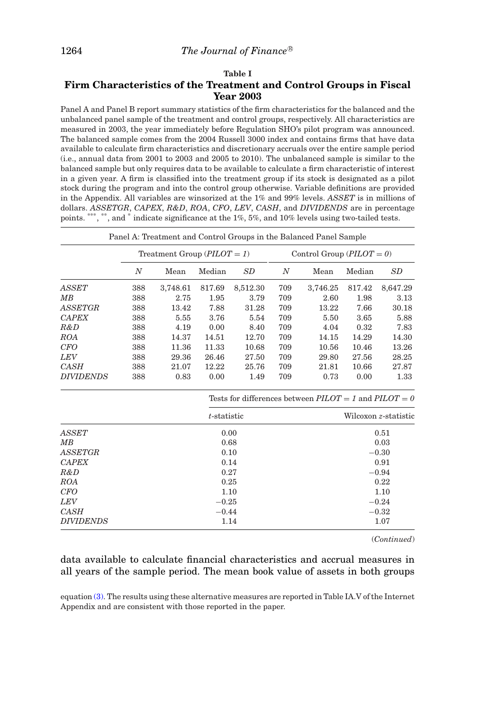# <span id="page-13-0"></span>**Table I Firm Characteristics of the Treatment and Control Groups in Fiscal Year 2003**

Panel A and Panel B report summary statistics of the firm characteristics for the balanced and the unbalanced panel sample of the treatment and control groups, respectively. All characteristics are measured in 2003, the year immediately before Regulation SHO's pilot program was announced. The balanced sample comes from the 2004 Russell 3000 index and contains firms that have data available to calculate firm characteristics and discretionary accruals over the entire sample period (i.e., annual data from 2001 to 2003 and 2005 to 2010). The unbalanced sample is similar to the balanced sample but only requires data to be available to calculate a firm characteristic of interest in a given year. A firm is classified into the treatment group if its stock is designated as a pilot stock during the program and into the control group otherwise. Variable definitions are provided in the Appendix. All variables are winsorized at the 1% and 99% levels. *ASSET* is in millions of dollars. *ASSETGR*, *CAPEX*, *R&D*, *ROA*, *CFO*, *LEV*, *CASH*, and *DIVIDENDS* are in percentage points. \*\*\*, \*\*, and \* indicate significance at the 1%, 5%, and 10% levels using two-tailed tests.

|                  |        |                               |                |          |        | Panel A: Treatment and Control Groups in the Balanced Panel Sample |        |                      |  |
|------------------|--------|-------------------------------|----------------|----------|--------|--------------------------------------------------------------------|--------|----------------------|--|
|                  |        | Treatment Group $(PILOT = 1)$ |                |          |        | Control Group $(PILOT = 0)$                                        |        |                      |  |
|                  | $_{N}$ | Mean                          | Median         | SD       | $_{N}$ | Mean                                                               | Median | SD                   |  |
| ${\rm ASSET}$    | 388    | 3,748.61                      | 817.69         | 8,512.30 | 709    | 3,746.25                                                           | 817.42 | 8,647.29             |  |
| MB               | 388    | 2.75                          | 1.95           | 3.79     | 709    | 2.60                                                               | 1.98   | 3.13                 |  |
| <b>ASSETGR</b>   | 388    | 13.42                         | 7.88           | 31.28    | 709    | 13.22                                                              | 7.66   | 30.18                |  |
| <b>CAPEX</b>     | 388    | 5.55                          | 3.76           | 5.54     | 709    | 5.50                                                               | 3.65   | 5.88                 |  |
| R&D              | 388    | 4.19                          | 0.00           | 8.40     | 709    | 4.04                                                               | 0.32   | 7.83                 |  |
| <b>ROA</b>       | 388    | 14.37                         | 14.51          | 12.70    | 709    | 14.15                                                              | 14.29  | 14.30                |  |
| <b>CFO</b>       | 388    | 11.36                         | 11.33          | 10.68    | 709    | 10.56                                                              | 10.46  | 13.26                |  |
| <b>LEV</b>       | 388    | 29.36                         | 26.46          | 27.50    | 709    | 29.80                                                              | 27.56  | 28.25                |  |
| <b>CASH</b>      | 388    | 21.07                         | 12.22          | 25.76    | 709    | 21.81                                                              | 10.66  | 27.87                |  |
| <b>DIVIDENDS</b> | 388    | 0.83                          | 0.00           | 1.49     | 709    | 0.73                                                               | 0.00   | 1.33                 |  |
|                  |        |                               |                |          |        | Tests for differences between $PILOT = 1$ and $PILOT = 0$          |        |                      |  |
|                  |        |                               | $t$ -statistic |          |        |                                                                    |        | Wilcoxon z-statistic |  |
| ${\rm ASSET}$    |        |                               |                | 0.00     |        |                                                                    |        | 0.51                 |  |
| MB               |        |                               |                | 0.68     |        |                                                                    |        | 0.03                 |  |
| <b>ASSETGR</b>   |        |                               |                | 0.10     |        |                                                                    |        | $-0.30$              |  |
| <b>CAPEX</b>     |        |                               |                | 0.14     |        |                                                                    |        | 0.91                 |  |
| R&D              |        |                               | 0.27           |          |        |                                                                    |        | $-0.94$              |  |
| <b>ROA</b>       |        |                               | 0.25           |          |        |                                                                    |        | 0.22                 |  |
| <b>CFO</b>       |        |                               |                | 1.10     |        |                                                                    |        | 1.10                 |  |
| <b>LEV</b>       |        |                               | $-0.25$        |          |        |                                                                    |        | $-0.24$              |  |
| <b>CASH</b>      |        |                               | $-0.44$        |          |        |                                                                    |        | $-0.32$              |  |
| <b>DIVIDENDS</b> |        |                               |                | 1.14     |        |                                                                    |        | 1.07                 |  |

(*Continued*)

data available to calculate financial characteristics and accrual measures in all years of the sample period. The mean book value of assets in both groups

equation [\(3\).](#page-12-0) The results using these alternative measures are reported in Table IA.V of the Internet Appendix and are consistent with those reported in the paper.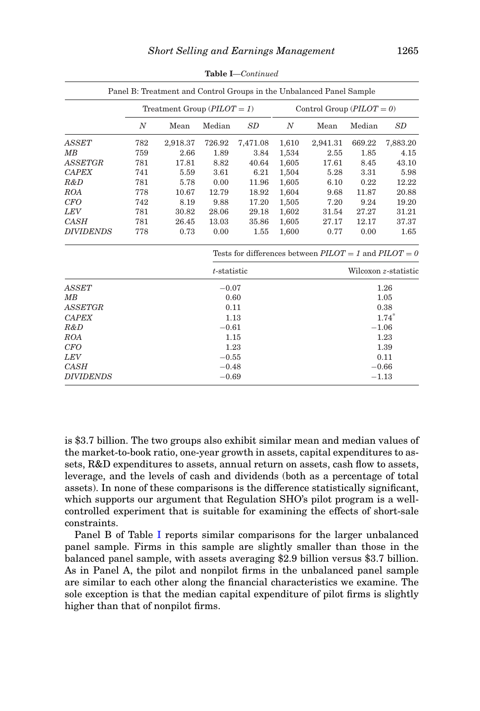|                  |        | Panel B: Treatment and Control Groups in the Unbalanced Panel Sample |                |          |                  |                                                           |                             |                      |  |
|------------------|--------|----------------------------------------------------------------------|----------------|----------|------------------|-----------------------------------------------------------|-----------------------------|----------------------|--|
|                  |        | Treatment Group $(PILOT = 1)$                                        |                |          |                  |                                                           | Control Group $(PILOT = 0)$ |                      |  |
|                  | $_{N}$ | Mean                                                                 | Median         | SD       | $\boldsymbol{N}$ | Mean                                                      | Median                      | SD                   |  |
| <b>ASSET</b>     | 782    | 2,918.37                                                             | 726.92         | 7,471.08 | 1,610            | 2,941.31                                                  | 669.22                      | 7,883.20             |  |
| MB               | 759    | 2.66                                                                 | 1.89           | 3.84     | 1,534            | 2.55                                                      | 1.85                        | 4.15                 |  |
| <b>ASSETGR</b>   | 781    | 17.81                                                                | 8.82           | 40.64    | 1,605            | 17.61                                                     | 8.45                        | 43.10                |  |
| <b>CAPEX</b>     | 741    | 5.59                                                                 | 3.61           | 6.21     | 1,504            | 5.28                                                      | 3.31                        | 5.98                 |  |
| R&D              | 781    | 5.78                                                                 | 0.00           | 11.96    | 1,605            | 6.10                                                      | 0.22                        | 12.22                |  |
| <b>ROA</b>       | 778    | 10.67                                                                | 12.79          | 18.92    | 1,604            | 9.68                                                      | 11.87                       | 20.88                |  |
| CFO              | 742    | 8.19                                                                 | 9.88           | 17.20    | 1,505            | 7.20                                                      | 9.24                        | 19.20                |  |
| <b>LEV</b>       | 781    | 30.82                                                                | 28.06          | 29.18    | 1,602            | 31.54                                                     | 27.27                       | 31.21                |  |
| <b>CASH</b>      | 781    | 26.45                                                                | 13.03          | 35.86    | 1,605            | 27.17                                                     | 12.17                       | 37.37                |  |
| <b>DIVIDENDS</b> | 778    | 0.73                                                                 | 0.00           | 1.55     | 1,600            | 0.77                                                      | 0.00                        | 1.65                 |  |
|                  |        |                                                                      |                |          |                  | Tests for differences between $PILOT = 1$ and $PILOT = 0$ |                             |                      |  |
|                  |        |                                                                      | $t$ -statistic |          |                  |                                                           |                             | Wilcoxon z-statistic |  |
| <b>ASSET</b>     |        |                                                                      | $-0.07$        |          |                  |                                                           |                             | 1.26                 |  |
| MB               |        |                                                                      |                | 0.60     |                  |                                                           |                             | 1.05                 |  |
| <b>ASSETGR</b>   |        |                                                                      | 0.11           |          |                  |                                                           |                             | 0.38                 |  |
| <b>CAPEX</b>     |        |                                                                      |                | 1.13     |                  |                                                           |                             | $1.74*$              |  |
| R&D              |        |                                                                      | $-0.61$        |          |                  |                                                           |                             | $-1.06$              |  |
| <b>ROA</b>       |        |                                                                      |                | 1.15     |                  |                                                           |                             | 1.23                 |  |
| <b>CFO</b>       |        |                                                                      |                | 1.23     |                  |                                                           |                             | 1.39                 |  |
| <b>LEV</b>       |        |                                                                      | $-0.55$        |          |                  |                                                           |                             | 0.11                 |  |
| <b>CASH</b>      |        |                                                                      | $-0.48$        |          |                  |                                                           |                             | $-0.66$              |  |
| <b>DIVIDENDS</b> |        |                                                                      | $-0.69$        |          |                  |                                                           |                             | $-1.13$              |  |

**Table I***—Continued*

is \$3.7 billion. The two groups also exhibit similar mean and median values of the market-to-book ratio, one-year growth in assets, capital expenditures to assets, R&D expenditures to assets, annual return on assets, cash flow to assets, leverage, and the levels of cash and dividends (both as a percentage of total assets). In none of these comparisons is the difference statistically significant, which supports our argument that Regulation SHO's pilot program is a wellcontrolled experiment that is suitable for examining the effects of short-sale constraints.

Panel B of Table [I](#page-13-0) reports similar comparisons for the larger unbalanced panel sample. Firms in this sample are slightly smaller than those in the balanced panel sample, with assets averaging \$2.9 billion versus \$3.7 billion. As in Panel A, the pilot and nonpilot firms in the unbalanced panel sample are similar to each other along the financial characteristics we examine. The sole exception is that the median capital expenditure of pilot firms is slightly higher than that of nonpilot firms.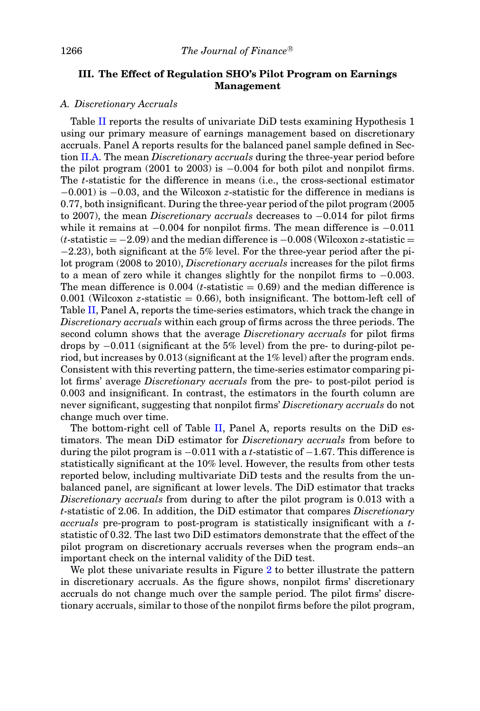# <span id="page-15-0"></span>**III. The Effect of Regulation SHO's Pilot Program on Earnings Management**

### *A. Discretionary Accruals*

Table [II](#page-16-0) reports the results of univariate DiD tests examining Hypothesis 1 using our primary measure of earnings management based on discretionary accruals. Panel A reports results for the balanced panel sample defined in Section [II.](#page-10-0)A. The mean *Discretionary accruals* during the three-year period before the pilot program  $(2001$  to  $2003)$  is  $-0.004$  for both pilot and nonpilot firms. The *t*-statistic for the difference in means (i.e., the cross-sectional estimator −0.001) is −0.03, and the Wilcoxon *z*-statistic for the difference in medians is 0.77, both insignificant. During the three-year period of the pilot program (2005 to 2007), the mean *Discretionary accruals* decreases to −0.014 for pilot firms while it remains at  $-0.004$  for nonpilot firms. The mean difference is  $-0.011$ (*t*-statistic = −2.09) and the median difference is −0.008 (Wilcoxon *z*-statistic = −2.23), both significant at the 5% level. For the three-year period after the pilot program (2008 to 2010), *Discretionary accruals* increases for the pilot firms to a mean of zero while it changes slightly for the nonpilot firms to −0.003. The mean difference is  $0.004$  (*t*-statistic = 0.69) and the median difference is 0.001 (Wilcoxon *z*-statistic  $= 0.66$ ), both insignificant. The bottom-left cell of Table [II,](#page-16-0) Panel A, reports the time-series estimators, which track the change in *Discretionary accruals* within each group of firms across the three periods. The second column shows that the average *Discretionary accruals* for pilot firms drops by −0.011 (significant at the 5% level) from the pre- to during-pilot period, but increases by 0.013 (significant at the 1% level) after the program ends. Consistent with this reverting pattern, the time-series estimator comparing pilot firms' average *Discretionary accruals* from the pre- to post-pilot period is 0.003 and insignificant. In contrast, the estimators in the fourth column are never significant, suggesting that nonpilot firms' *Discretionary accruals* do not change much over time.

The bottom-right cell of Table [II,](#page-16-0) Panel A, reports results on the DiD estimators. The mean DiD estimator for *Discretionary accruals* from before to during the pilot program is −0.011 with a *t*-statistic of −1.67. This difference is statistically significant at the 10% level. However, the results from other tests reported below, including multivariate DiD tests and the results from the unbalanced panel, are significant at lower levels. The DiD estimator that tracks *Discretionary accruals* from during to after the pilot program is 0.013 with a *t*-statistic of 2.06. In addition, the DiD estimator that compares *Discretionary accruals* pre-program to post-program is statistically insignificant with a *t*statistic of 0.32. The last two DiD estimators demonstrate that the effect of the pilot program on discretionary accruals reverses when the program ends–an important check on the internal validity of the DiD test.

We plot these univariate results in Figure [2](#page-17-0) to better illustrate the pattern in discretionary accruals. As the figure shows, nonpilot firms' discretionary accruals do not change much over the sample period. The pilot firms' discretionary accruals, similar to those of the nonpilot firms before the pilot program,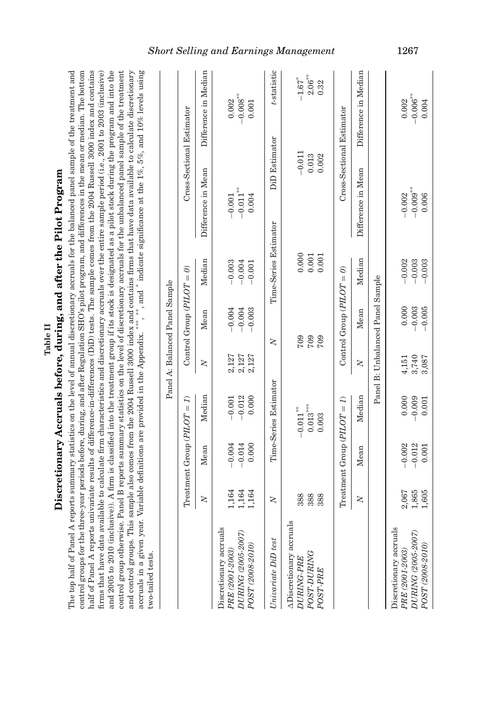<span id="page-16-0"></span>

| d<br>ı |  |
|--------|--|
|        |  |
|        |  |

# Discretionary Accruals before, during, and after the Pilot Program **Discretionary Accruals before, during, and after the Pilot Program**

half of Panel A reports univariate results of difference-in-differences (DiD) tests. The sample comes from the 2004 Russell 3000 index and contains The top half of Panel A reports summary statistics on the level of annual discretionary accruals for the balanced panel sample of the treatment and The top half of Panel A reports summary statistics on the level of annual discretionary accruals for the balanced panel sample of the treatment and control groups for the three-year periods before, during, and after Regulation SHO's pilot program, and differences in the mean or median. The bottom control groups for the three-year periods before, during, and after Regulation SHO's pilot program, and differences in the mean or median. The bottom half of Panel A reports univariate results of difference-in-differences (DiD) tests. The sample comes from the 2004 Russell 3000 index and contains firms that have data available to calculate firm characteristics and discretionary accruals over the entire sample period (i.e., 2001 to 2003 (inclusive) firms that have data available to calculate firm characteristics and discretionary accruals over the entire sample period (i.e., 2001 to 2003 (inclusive) and 2005 to 2010 (inclusive)). A firm is classified into the treatment group if its stock is designated as a pilot stock during the program and into the and 2005 to 2010 (inclusive)). A firm is classified into the treatment group if its stock is designated as a pilot stock during the program and into the control group otherwise. Panel B reports summary statistics on the level of discretionary accruals for the unbalanced panel sample of the treatment control group otherwise. Panel B reports summary statistics on the level of discretionary accruals for the unbalanced panel sample of the treatment and control groups. This sample also comes from the 2004 Russell 3000 index and contains firms that have data available to calculate discretionary and control groups. This sample also comes from the 2004 Russell 3000 index and contains firms that have data available to calculate discretionary  $^{**}$ , and  $^{*}$  indicate significance at the 1%, 5%, and 10% levels using accruals in a given year. Variable definitions are provided in the Appendix.  $\stackrel{***}{\cdots}$ , and  $\stackrel{*}{\cdots}$  indicate significance at the 1%, 5%, and 10% levels using  $\overline{\phantom{a}}$ \*\* accruals in a given year. Variable definitions are provided in the Appendix. two-tailed tests. two-tailed tests.

|                                                                                     |                         |                               |                                    |                               | Panel A: Balanced Panel Sample   |                                  |                                    |                                |
|-------------------------------------------------------------------------------------|-------------------------|-------------------------------|------------------------------------|-------------------------------|----------------------------------|----------------------------------|------------------------------------|--------------------------------|
|                                                                                     |                         | Treatment Group $(PLOT = 1)$  |                                    |                               | Control Group ( $PLOT = 0$ )     |                                  |                                    | Cross-Sectional Estimator      |
|                                                                                     | $\geq$                  | Mean                          | Median                             | $\geq$                        | Mean                             | Median                           | Difference in Mean                 | Difference in Median           |
| Discretionary accruals<br>DURING (2005-2007)<br>POST (2008-2010)<br>PRE (2001-2003) | 1,164<br>1,164<br>1,164 | $-0.004$<br>$-0.014$<br>0.000 | $-0.012$<br>0.000<br>$-0.001$      | 2, 127<br>2, 127<br>2, 127    | $-0.004$<br>$-0.003$<br>$-0.004$ | $-0.003$<br>$-0.004$<br>$-0.001$ | $-0.011^{**}$<br>$-0.001$<br>0.004 | $-0.008***$<br>0.002<br>0.001  |
| Univariate DiD test                                                                 | $\geq$                  |                               | Time-Series Estimator              |                               | $\geq$                           | Time-Series Estimator            | DiD Estimator                      | t-statistic                    |
| ADiscretionary accruals<br>POST-DURING<br><b>DURING-PRE</b><br>POST-PRE             | 388<br>388<br>388       |                               | $0.013***$<br>$-0.011***$<br>0.003 |                               | 709<br>709<br>709                | 0.000<br>$0.001$<br>$0.001$      | $-0.011$<br>0.013<br>0.002         | $2.06***$<br>$-1.67^*$<br>0.32 |
|                                                                                     |                         | Treatment Group $(PILOT = 1)$ |                                    |                               | Control Group ( $PLOT = 0$ )     |                                  |                                    | Cross-Sectional Estimator      |
|                                                                                     | $\geq$                  | Mean                          | Median                             | $\geq$                        | Mean                             | Median                           | Difference in Mean                 | Difference in Median           |
|                                                                                     |                         |                               |                                    |                               | Panel B: Unbalanced Panel Sample |                                  |                                    |                                |
| Discretionary accruals<br>DURING (2005-2007)<br>POST (2008-2010)<br>PRE (2001-2003) | 1,865<br>2,067<br>1,605 | $-0.002$<br>$-0.012$<br>0.001 | 0.000<br>$-0.009$<br>0.001         | $4,151$<br>$3,740$<br>$3,087$ | 0.000<br>$-0.003$<br>$-0.005$    | $-0.002$<br>$-0.003$<br>$-0.003$ | $-0.009***$<br>$-0.002$<br>0.006   | $-0.006$ **<br>0.002<br>0.004  |
|                                                                                     |                         |                               |                                    |                               |                                  |                                  |                                    |                                |

# *Short Selling and Earnings Management* 1267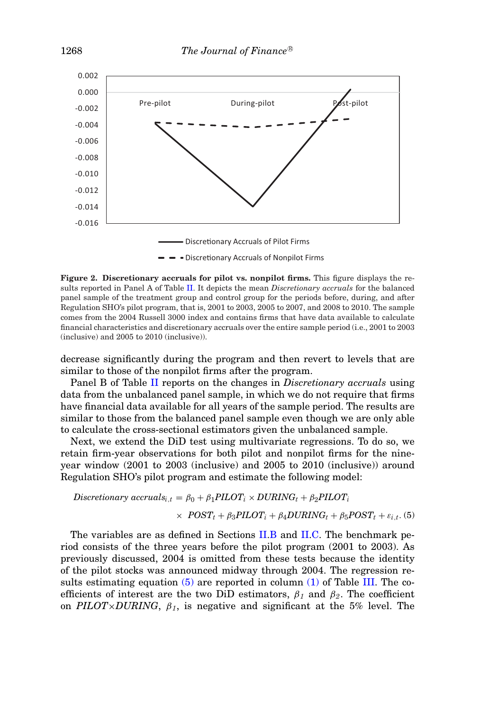

<span id="page-17-0"></span>**Figure 2. Discretionary accruals for pilot vs. nonpilot firms.** This figure displays the results reported in Panel A of Table [II.](#page-16-0) It depicts the mean *Discretionary accruals* for the balanced panel sample of the treatment group and control group for the periods before, during, and after Regulation SHO's pilot program, that is, 2001 to 2003, 2005 to 2007, and 2008 to 2010. The sample comes from the 2004 Russell 3000 index and contains firms that have data available to calculate financial characteristics and discretionary accruals over the entire sample period (i.e., 2001 to 2003 (inclusive) and 2005 to 2010 (inclusive)).

decrease significantly during the program and then revert to levels that are similar to those of the nonpilot firms after the program.

Panel B of Table [II](#page-16-0) reports on the changes in *Discretionary accruals* using data from the unbalanced panel sample, in which we do not require that firms have financial data available for all years of the sample period. The results are similar to those from the balanced panel sample even though we are only able to calculate the cross-sectional estimators given the unbalanced sample.

Next, we extend the DiD test using multivariate regressions. To do so, we retain firm-year observations for both pilot and nonpilot firms for the nineyear window (2001 to 2003 (inclusive) and 2005 to 2010 (inclusive)) around Regulation SHO's pilot program and estimate the following model:

<span id="page-17-1"></span>*Discretionary accruals*<sub>*i*</sub>, $t = \beta_0 + \beta_1 PLOT_i \times DURING_t + \beta_2 PLOT_i$ 

$$
\times \ \left. POST_t + \beta_3 PILOT_t + \beta_4 DURING_t + \beta_5 POST_t + \varepsilon_{i,t}.\ (5)\right.
$$

The variables are as defined in Sections [II.](#page-10-0)B and II.C. The benchmark period consists of the three years before the pilot program (2001 to 2003). As previously discussed, 2004 is omitted from these tests because the identity of the pilot stocks was announced midway through 2004. The regression results estimating equation  $(5)$  are reported in column  $(1)$  of Table [III.](#page-18-0) The coefficients of interest are the two DiD estimators,  $\beta_1$  and  $\beta_2$ . The coefficient on *PILOT*×*DURING*,  $\beta_1$ , is negative and significant at the 5% level. The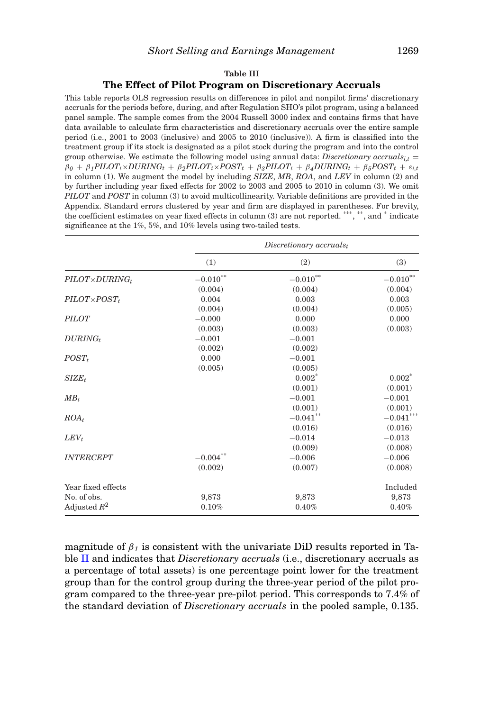### **Table III**

### **The Effect of Pilot Program on Discretionary Accruals**

<span id="page-18-0"></span>This table reports OLS regression results on differences in pilot and nonpilot firms' discretionary accruals for the periods before, during, and after Regulation SHO's pilot program, using a balanced panel sample. The sample comes from the 2004 Russell 3000 index and contains firms that have data available to calculate firm characteristics and discretionary accruals over the entire sample period (i.e., 2001 to 2003 (inclusive) and 2005 to 2010 (inclusive)). A firm is classified into the treatment group if its stock is designated as a pilot stock during the program and into the control group otherwise. We estimate the following model using annual data: *Discretionary accruals<sub>i,t</sub>* =  $\beta_0 + \beta_1$ PILOT<sub>i</sub>×*DURING*<sub>t</sub> +  $\beta_2$ PILOT<sub>i</sub>×*POST*<sub>t</sub> +  $\beta_3$ PILOT<sub>i</sub> +  $\beta_4$ DURING<sub>t</sub> +  $\beta_5$ POST<sub>t</sub> +  $\varepsilon_{i,t}$ in column (1). We augment the model by including *SIZE*, *MB*, *ROA*, and *LEV* in column (2) and by further including year fixed effects for 2002 to 2003 and 2005 to 2010 in column (3). We omit *PILOT* and *POST* in column (3) to avoid multicollinearity. Variable definitions are provided in the Appendix. Standard errors clustered by year and firm are displayed in parentheses. For brevity, the coefficient estimates on year fixed effects in column (3) are not reported. \*\*\*, \*\*, and \* indicate significance at the 1%, 5%, and 10% levels using two-tailed tests.

|                         | Discretionary $accruals_t$ |             |             |  |  |
|-------------------------|----------------------------|-------------|-------------|--|--|
|                         | (1)                        | (2)         | (3)         |  |  |
| $PILOT \times DURING_t$ | $-0.010**$                 | $-0.010**$  | $-0.010**$  |  |  |
|                         | (0.004)                    | (0.004)     | (0.004)     |  |  |
| $PILOT \times POST_t$   | 0.004                      | 0.003       | 0.003       |  |  |
|                         | (0.004)                    | (0.004)     | (0.005)     |  |  |
| <b>PILOT</b>            | $-0.000$                   | 0.000       | 0.000       |  |  |
|                         | (0.003)                    | (0.003)     | (0.003)     |  |  |
| $DURING_t$              | $-0.001$                   | $-0.001$    |             |  |  |
|                         | (0.002)                    | (0.002)     |             |  |  |
| $POST_t$                | 0.000                      | $-0.001$    |             |  |  |
|                         | (0.005)                    | (0.005)     |             |  |  |
| $SIZE_t$                |                            | $0.002*$    | $0.002*$    |  |  |
|                         |                            | (0.001)     | (0.001)     |  |  |
| $MB_t$                  |                            | $-0.001$    | $-0.001$    |  |  |
|                         |                            | (0.001)     | (0.001)     |  |  |
| $ROA_t$                 |                            | $-0.041***$ | $-0.041***$ |  |  |
|                         |                            | (0.016)     | (0.016)     |  |  |
| $LEV_t$                 |                            | $-0.014$    | $-0.013$    |  |  |
|                         |                            | (0.009)     | (0.008)     |  |  |
| <b>INTERCEPT</b>        | $-0.004***$                | $-0.006$    | $-0.006$    |  |  |
|                         | (0.002)                    | (0.007)     | (0.008)     |  |  |
| Year fixed effects      |                            |             | Included    |  |  |
| No. of obs.             | 9,873                      | 9,873       | 9,873       |  |  |
| Adjusted $R^2$          | 0.10%                      | 0.40%       | 0.40%       |  |  |

magnitude of  $\beta_1$  is consistent with the univariate DiD results reported in Table [II](#page-16-0) and indicates that *Discretionary accruals* (i.e., discretionary accruals as a percentage of total assets) is one percentage point lower for the treatment group than for the control group during the three-year period of the pilot program compared to the three-year pre-pilot period. This corresponds to 7.4% of the standard deviation of *Discretionary accruals* in the pooled sample, 0.135.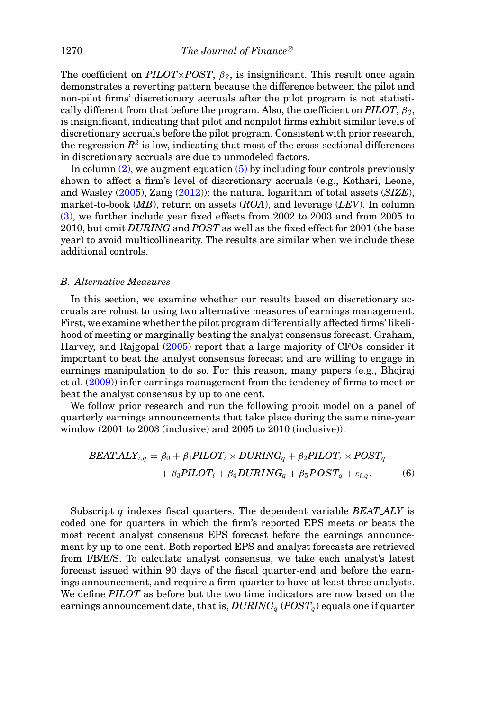The coefficient on  $\text{PILOT} \times \text{POST}$ ,  $\beta_2$ , is insignificant. This result once again demonstrates a reverting pattern because the difference between the pilot and non-pilot firms' discretionary accruals after the pilot program is not statistically different from that before the program. Also, the coefficient on  $PIDT$ ,  $\beta_3$ , is insignificant, indicating that pilot and nonpilot firms exhibit similar levels of discretionary accruals before the pilot program. Consistent with prior research, the regression  $R^2$  is low, indicating that most of the cross-sectional differences in discretionary accruals are due to unmodeled factors.

In column  $(2)$ , we augment equation  $(5)$  by including four controls previously shown to affect a firm's level of discretionary accruals (e.g., Kothari, Leone, and Wasley [\(2005\)](#page-42-4), Zang [\(2012\)](#page-42-12)): the natural logarithm of total assets (*SIZE*), market-to-book (*MB*), return on assets (*ROA*), and leverage (*LEV*). In column [\(3\),](#page-12-0) we further include year fixed effects from 2002 to 2003 and from 2005 to 2010, but omit *DURING* and *POST* as well as the fixed effect for 2001 (the base year) to avoid multicollinearity. The results are similar when we include these additional controls.

### *B. Alternative Measures*

In this section, we examine whether our results based on discretionary accruals are robust to using two alternative measures of earnings management. First, we examine whether the pilot program differentially affected firms' likelihood of meeting or marginally beating the analyst consensus forecast. Graham, Harvey, and Rajgopal [\(2005\)](#page-41-18) report that a large majority of CFOs consider it important to beat the analyst consensus forecast and are willing to engage in earnings manipulation to do so. For this reason, many papers (e.g., Bhojraj et al. [\(2009\)](#page-40-16)) infer earnings management from the tendency of firms to meet or beat the analyst consensus by up to one cent.

We follow prior research and run the following probit model on a panel of quarterly earnings announcements that take place during the same nine-year window (2001 to 2003 (inclusive) and 2005 to 2010 (inclusive)):

<span id="page-19-0"></span>
$$
BEATALY_{i,q} = \beta_0 + \beta_1 P ILOT_i \times DURING_q + \beta_2 P ILOT_i \times POST_q
$$
  
+  $\beta_3 P ILOT_i + \beta_4 DURING_q + \beta_5 POST_q + \varepsilon_{i,q}.$  (6)

Subscript *q* indexes fiscal quarters. The dependent variable *BEAT ALY* is coded one for quarters in which the firm's reported EPS meets or beats the most recent analyst consensus EPS forecast before the earnings announcement by up to one cent. Both reported EPS and analyst forecasts are retrieved from I/B/E/S. To calculate analyst consensus, we take each analyst's latest forecast issued within 90 days of the fiscal quarter-end and before the earnings announcement, and require a firm-quarter to have at least three analysts. We define *PILOT* as before but the two time indicators are now based on the earnings announcement date, that is,  $DURING_q$  ( $POST_q$ ) equals one if quarter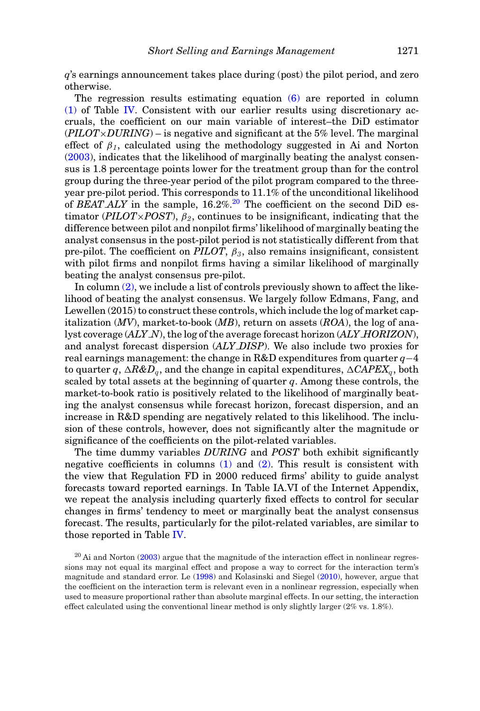*q*'s earnings announcement takes place during (post) the pilot period, and zero otherwise.

The regression results estimating equation [\(6\)](#page-19-0) are reported in column [\(1\)](#page-8-1) of Table [IV.](#page-21-0) Consistent with our earlier results using discretionary accruals, the coefficient on our main variable of interest–the DiD estimator  $(PILOT \times DURING)$  – is negative and significant at the 5% level. The marginal effect of  $\beta_I$ , calculated using the methodology suggested in Ai and Norton [\(2003\)](#page-39-5), indicates that the likelihood of marginally beating the analyst consensus is 1.8 percentage points lower for the treatment group than for the control group during the three-year period of the pilot program compared to the threeyear pre-pilot period. This corresponds to 11.1% of the unconditional likelihood of *BEAT ALY* in the sample,  $16.2\%$ .<sup>20</sup> The coefficient on the second DiD estimator (*PILOT* $\times$ *POST*),  $\beta_2$ , continues to be insignificant, indicating that the difference between pilot and nonpilot firms' likelihood of marginally beating the analyst consensus in the post-pilot period is not statistically different from that pre-pilot. The coefficient on  $\text{PILOT}, \beta_3$ , also remains insignificant, consistent with pilot firms and nonpilot firms having a similar likelihood of marginally beating the analyst consensus pre-pilot.

In column [\(2\),](#page-8-3) we include a list of controls previously shown to affect the likelihood of beating the analyst consensus. We largely follow Edmans, Fang, and Lewellen (2015) to construct these controls, which include the log of market capitalization (*MV*), market-to-book (*MB*), return on assets (*ROA*), the log of analyst coverage (*ALY N*), the log of the average forecast horizon (*ALY HORIZON*), and analyst forecast dispersion (*ALY DISP*). We also include two proxies for real earnings management: the change in R&D expenditures from quarter *q*−4 to quarter q,  $\Delta R\&D_q$ , and the change in capital expenditures,  $\Delta CAPEX_q$ , both scaled by total assets at the beginning of quarter *q*. Among these controls, the market-to-book ratio is positively related to the likelihood of marginally beating the analyst consensus while forecast horizon, forecast dispersion, and an increase in R&D spending are negatively related to this likelihood. The inclusion of these controls, however, does not significantly alter the magnitude or significance of the coefficients on the pilot-related variables.

The time dummy variables *DURING* and *POST* both exhibit significantly negative coefficients in columns  $(1)$  and  $(2)$ . This result is consistent with the view that Regulation FD in 2000 reduced firms' ability to guide analyst forecasts toward reported earnings. In Table IA.VI of the Internet Appendix, we repeat the analysis including quarterly fixed effects to control for secular changes in firms' tendency to meet or marginally beat the analyst consensus forecast. The results, particularly for the pilot-related variables, are similar to those reported in Table [IV.](#page-21-0)

<span id="page-20-0"></span> $^{20}$  Ai and Norton [\(2003\)](#page-39-5) argue that the magnitude of the interaction effect in nonlinear regressions may not equal its marginal effect and propose a way to correct for the interaction term's magnitude and standard error. Le [\(1998\)](#page-42-13) and Kolasinski and Siegel [\(2010\)](#page-42-14), however, argue that the coefficient on the interaction term is relevant even in a nonlinear regression, especially when used to measure proportional rather than absolute marginal effects. In our setting, the interaction effect calculated using the conventional linear method is only slightly larger (2% vs. 1.8%).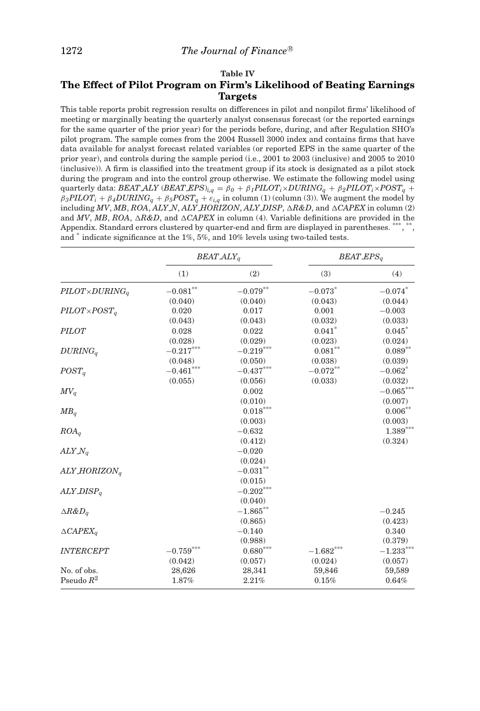# <span id="page-21-0"></span>**Table IV The Effect of Pilot Program on Firm's Likelihood of Beating Earnings Targets**

This table reports probit regression results on differences in pilot and nonpilot firms' likelihood of meeting or marginally beating the quarterly analyst consensus forecast (or the reported earnings for the same quarter of the prior year) for the periods before, during, and after Regulation SHO's pilot program. The sample comes from the 2004 Russell 3000 index and contains firms that have data available for analyst forecast related variables (or reported EPS in the same quarter of the prior year), and controls during the sample period (i.e., 2001 to 2003 (inclusive) and 2005 to 2010 (inclusive)). A firm is classified into the treatment group if its stock is designated as a pilot stock during the program and into the control group otherwise. We estimate the following model using quarterly data: *BEAT ALY*  $(BEATEPS)_{i,q} = \beta_0 + \beta_1 PILOT_i \times DURING_q + \beta_2 PILOT_i \times POST_q +$  $\beta_{3}PILOT_{i}+\beta_{4}DURING_{q}+\beta_{5}POST_{q}+\varepsilon_{i,q}$  in column (1) (column (3)). We augment the model by including MV, MB, ROA, ALY  $N$ , ALY HORIZON, ALY DISP,  $\triangle R\&D$ , and  $\triangle CAPEX$  in column (2) and MV, MB, ROA,  $\triangle R\&D$ , and  $\triangle CAPEX$  in column (4). Variable definitions are provided in the Appendix. Standard errors clustered by quarter-end and firm are displayed in parentheses. \*\*\*, \*\*, and \* indicate significance at the 1%, 5%, and 10% levels using two-tailed tests.

|                                             |                         | $BEATALY_{\alpha}$     |                    | $BEAT\_EPS$           |
|---------------------------------------------|-------------------------|------------------------|--------------------|-----------------------|
|                                             | (1)                     | (2)                    | (3)                | (4)                   |
| $PILOT \times DURING_q$                     | $-0.081^{**}$           | $-0.079***$            | $-0.073*$          | $-0.074*$             |
|                                             | (0.040)                 | (0.040)                | (0.043)            | (0.044)               |
| $PILOT \times POST_{q}$                     | 0.020                   | 0.017                  | 0.001              | $-0.003$              |
|                                             | (0.043)                 | (0.043)                | (0.032)            | (0.033)               |
| <b>PILOT</b>                                | 0.028                   | 0.022                  | $0.041*$           | 0.045                 |
|                                             | (0.028)                 | (0.029)                | (0.023)            | (0.024)               |
| DURING <sub>a</sub>                         | $-0.217***$             | $-0.219***$            | $0.081^{\ast\ast}$ | $0.089^{**}$          |
|                                             | (0.048)                 | (0.050)                | (0.038)            | (0.039)               |
| $POST_q$                                    | $-0.461$ ***            | $-0.437***$            | $-0.072**$         | $-0.062$ <sup>*</sup> |
|                                             | (0.055)                 | (0.056)                | (0.033)            | (0.032)               |
| $MV_a$                                      |                         | 0.002                  |                    | $-0.065^{***}\,$      |
|                                             |                         | (0.010)                |                    | (0.007)               |
| MB <sub>a</sub>                             |                         | $0.018***$             |                    | $0.006***$            |
|                                             |                         | (0.003)                |                    | (0.003)               |
| ROA <sub>a</sub>                            |                         | $-0.632$               |                    | $1.389***$            |
|                                             |                         | (0.412)                |                    | (0.324)               |
| $ALYN_a$                                    |                         | $-0.020$               |                    |                       |
|                                             |                         | (0.024)                |                    |                       |
| ALY HORIZON <sub>a</sub>                    |                         | $-0.031***$            |                    |                       |
|                                             |                         | (0.015)                |                    |                       |
| $ALY$ <i>DISP</i> <sup><math>a</math></sup> |                         | $-0.202^{***}\,$       |                    |                       |
|                                             |                         | (0.040)                |                    |                       |
| $\triangle R\&D_{\alpha}$                   |                         | $-1.865***$            |                    | $-0.245$              |
|                                             |                         | (0.865)                |                    | (0.423)               |
| $\triangle CAPEX_{q}$                       |                         | $-0.140$               |                    | 0.340                 |
|                                             |                         | (0.988)                |                    | (0.379)               |
| <b>INTERCEPT</b>                            | $-0.759^{\ast\ast\ast}$ | $0.680^{\ast\ast\ast}$ | $-1.682^{***}$     | $-1.233***$           |
|                                             | (0.042)                 | (0.057)                | (0.024)            | (0.057)               |
| No. of obs.                                 | 28,626                  | 28,341                 | 59,846             | 59,589                |
| Pseudo $R^2$                                | 1.87%                   | 2.21%                  | 0.15%              | 0.64%                 |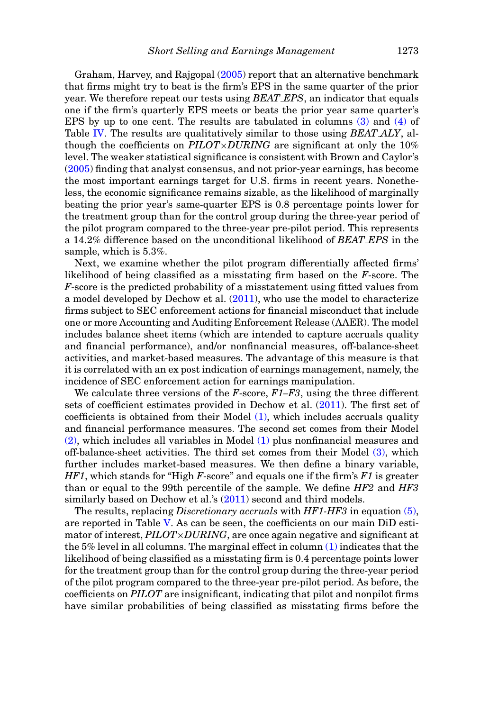Graham, Harvey, and Rajgopal [\(2005\)](#page-41-18) report that an alternative benchmark that firms might try to beat is the firm's EPS in the same quarter of the prior year. We therefore repeat our tests using *BEAT EPS*, an indicator that equals one if the firm's quarterly EPS meets or beats the prior year same quarter's EPS by up to one cent. The results are tabulated in columns [\(3\)](#page-12-0) and [\(4\)](#page-12-1) of Table [IV.](#page-21-0) The results are qualitatively similar to those using *BEAT ALY*, although the coefficients on *PILOT*×*DURING* are significant at only the 10% level. The weaker statistical significance is consistent with Brown and Caylor's [\(2005\)](#page-40-17) finding that analyst consensus, and not prior-year earnings, has become the most important earnings target for U.S. firms in recent years. Nonetheless, the economic significance remains sizable, as the likelihood of marginally beating the prior year's same-quarter EPS is 0.8 percentage points lower for the treatment group than for the control group during the three-year period of the pilot program compared to the three-year pre-pilot period. This represents a 14.2% difference based on the unconditional likelihood of *BEAT EPS* in the sample, which is 5.3%.

Next, we examine whether the pilot program differentially affected firms' likelihood of being classified as a misstating firm based on the *F*-score. The *F*-score is the predicted probability of a misstatement using fitted values from a model developed by Dechow et al. [\(2011\)](#page-40-2), who use the model to characterize firms subject to SEC enforcement actions for financial misconduct that include one or more Accounting and Auditing Enforcement Release (AAER). The model includes balance sheet items (which are intended to capture accruals quality and financial performance), and/or nonfinancial measures, off-balance-sheet activities, and market-based measures. The advantage of this measure is that it is correlated with an ex post indication of earnings management, namely, the incidence of SEC enforcement action for earnings manipulation.

We calculate three versions of the *F*-score, *F1–F3*, using the three different sets of coefficient estimates provided in Dechow et al. [\(2011\)](#page-40-2). The first set of coefficients is obtained from their Model [\(1\),](#page-8-1) which includes accruals quality and financial performance measures. The second set comes from their Model [\(2\),](#page-8-3) which includes all variables in Model [\(1\)](#page-8-1) plus nonfinancial measures and off-balance-sheet activities. The third set comes from their Model [\(3\),](#page-12-0) which further includes market-based measures. We then define a binary variable, *HF1*, which stands for "High *F*-score" and equals one if the firm's *F1* is greater than or equal to the 99th percentile of the sample. We define *HF2* and *HF3* similarly based on Dechow et al.'s [\(2011\)](#page-40-2) second and third models.

The results, replacing *Discretionary accruals* with *HF1-HF3* in equation [\(5\),](#page-17-1) are reported in Table [V.](#page-23-0) As can be seen, the coefficients on our main DiD estimator of interest, *PILOT*×*DURING*, are once again negative and significant at the 5% level in all columns. The marginal effect in column [\(1\)](#page-8-1) indicates that the likelihood of being classified as a misstating firm is 0.4 percentage points lower for the treatment group than for the control group during the three-year period of the pilot program compared to the three-year pre-pilot period. As before, the coefficients on *PILOT* are insignificant, indicating that pilot and nonpilot firms have similar probabilities of being classified as misstating firms before the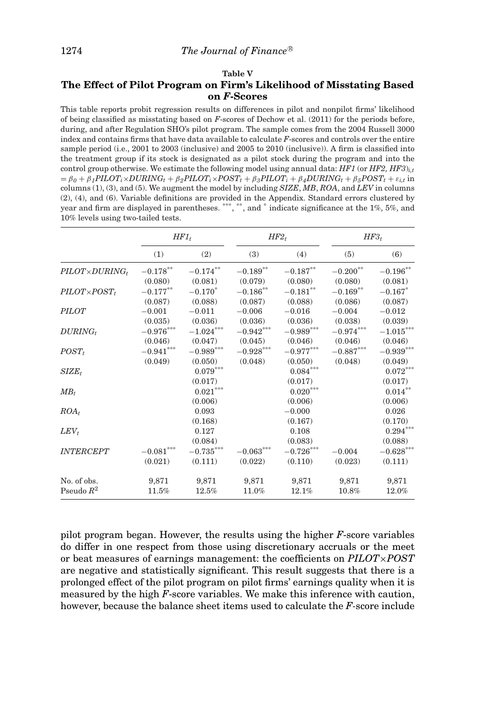# <span id="page-23-0"></span>**Table V The Effect of Pilot Program on Firm's Likelihood of Misstating Based on** *F***-Scores**

This table reports probit regression results on differences in pilot and nonpilot firms' likelihood of being classified as misstating based on *F*-scores of Dechow et al. (2011) for the periods before, during, and after Regulation SHO's pilot program. The sample comes from the 2004 Russell 3000 index and contains firms that have data available to calculate *F*-scores and controls over the entire sample period (i.e., 2001 to 2003 (inclusive) and 2005 to 2010 (inclusive)). A firm is classified into the treatment group if its stock is designated as a pilot stock during the program and into the control group otherwise. We estimate the following model using annual data:  $HFI$  (or  $HF2, HF3$ )<sub>*it*</sub>  $= \beta_0 + \beta_1 P I L O T_i \times D U R I N G_t + \beta_2 P I L O T_i \times POST_t + \beta_3 P I L O T_i + \beta_4 D U R I N G_t + \beta_5 P O S T_t + \varepsilon_{i,t}$  in columns (1), (3), and (5). We augment the model by including *SIZE*, *MB*, *ROA*, and *LEV* in columns (2), (4), and (6). Variable definitions are provided in the Appendix. Standard errors clustered by year and firm are displayed in parentheses. \*\*\*, \*\*, and \* indicate significance at the 1%, 5%, and 10% levels using two-tailed tests.

|                         |                         | $HFI_t$                 | $HF2_t$                 |                         |                         | $HF3_t$                 |
|-------------------------|-------------------------|-------------------------|-------------------------|-------------------------|-------------------------|-------------------------|
|                         | (1)                     | (2)                     | (3)                     | (4)                     | (5)                     | (6)                     |
| $PILOT \times DURING_t$ | $-0.178^{\ast\ast}$     | $\mathbf{-0.174}^{**}$  | $-0.189^{\ast\ast}$     | $-0.187^{\ast\ast}$     | $-0.200^{\ast\ast}$     | $-0.196^{\ast\ast}$     |
|                         | (0.080)                 | (0.081)                 | (0.079)                 | (0.080)                 | (0.080)                 | (0.081)                 |
| $PILOT \times POST_t$   | $-0.177***$             | $-0.170*$               | $-0.186**$              | $-0.181***$             | $-0.169***$             | $-0.167*$               |
|                         | (0.087)                 | (0.088)                 | (0.087)                 | (0.088)                 | (0.086)                 | (0.087)                 |
| <b>PILOT</b>            | $-0.001$                | $-0.011$                | $-0.006$                | $-0.016$                | $-0.004$                | $-0.012$                |
|                         | (0.035)                 | (0.036)                 | (0.036)                 | (0.036)                 | (0.038)                 | (0.039)                 |
| $DURING_t$              | $-0.976^{\ast\ast\ast}$ | $-1.024***$             | $-0.942***$             | $-0.989***$             | $-0.974^{***}$          | $-1.015^{\ast\ast\ast}$ |
|                         | (0.046)                 | (0.047)                 | (0.045)                 | (0.046)                 | (0.046)                 | (0.046)                 |
| $POST_t$                | $-0.941^{\ast\ast\ast}$ | $-0.989***$             | $-0.928^{\ast\ast\ast}$ | $-0.977***$             | $-0.887^{\ast\ast\ast}$ | $-0.939***$             |
|                         | (0.049)                 | (0.050)                 | (0.048)                 | (0.050)                 | (0.048)                 | (0.049)                 |
| $SIZE_t$                |                         | $0.079***$              |                         | $0.084^{\ast\ast\ast}$  |                         | $0.072***$              |
|                         |                         | (0.017)                 |                         | (0.017)                 |                         | (0.017)                 |
| $MB_t$                  |                         | $0.021^{\ast\ast\ast}$  |                         | $0.020^{\ast\ast\ast}$  |                         | $0.014^{\ast\ast}$      |
|                         |                         | (0.006)                 |                         | (0.006)                 |                         | (0.006)                 |
| $ROA_t$                 |                         | 0.093                   |                         | $-0.000$                |                         | 0.026                   |
|                         |                         | (0.168)                 |                         | (0.167)                 |                         | (0.170)                 |
| $LEV_t$                 |                         | 0.127                   |                         | 0.108                   |                         | $0.294***$              |
|                         |                         | (0.084)                 |                         | (0.083)                 |                         | (0.088)                 |
| <b>INTERCEPT</b>        | $-0.081^{\ast\ast\ast}$ | $\mathbf{-0.735}^{***}$ | $-0.063^{\ast\ast\ast}$ | $-0.726^{\ast\ast\ast}$ | $-0.004$                | $-0.628***$             |
|                         | (0.021)                 | (0.111)                 | (0.022)                 | (0.110)                 | (0.023)                 | (0.111)                 |
| No. of obs.             | 9,871                   | 9,871                   | 9,871                   | 9,871                   | 9,871                   | 9,871                   |
| Pseudo $R^2$            | 11.5%                   | 12.5%                   | 11.0%                   | 12.1%                   | 10.8%                   | 12.0%                   |

pilot program began. However, the results using the higher *F*-score variables do differ in one respect from those using discretionary accruals or the meet or beat measures of earnings management: the coefficients on *PILOT*×*POST* are negative and statistically significant. This result suggests that there is a prolonged effect of the pilot program on pilot firms' earnings quality when it is measured by the high *F*-score variables. We make this inference with caution, however, because the balance sheet items used to calculate the *F-*score include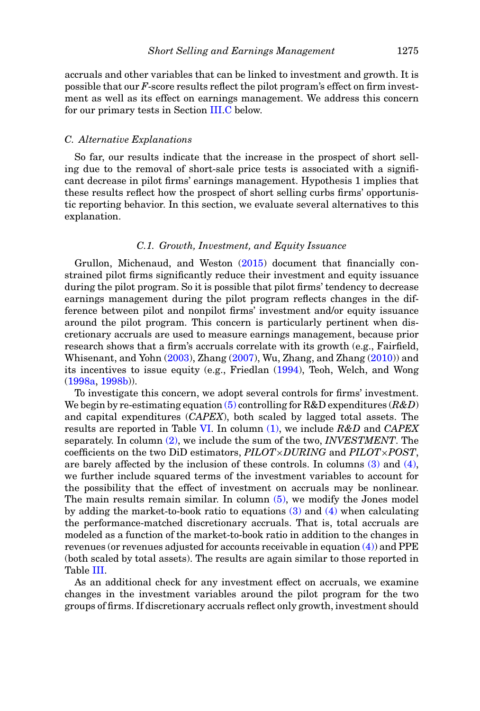accruals and other variables that can be linked to investment and growth. It is possible that our *F*-score results reflect the pilot program's effect on firm investment as well as its effect on earnings management. We address this concern for our primary tests in Section [III.](#page-15-0)C below.

### *C. Alternative Explanations*

So far, our results indicate that the increase in the prospect of short selling due to the removal of short-sale price tests is associated with a significant decrease in pilot firms' earnings management. Hypothesis 1 implies that these results reflect how the prospect of short selling curbs firms' opportunistic reporting behavior. In this section, we evaluate several alternatives to this explanation.

### *C.1. Growth, Investment, and Equity Issuance*

Grullon, Michenaud, and Weston [\(2015\)](#page-41-3) document that financially constrained pilot firms significantly reduce their investment and equity issuance during the pilot program. So it is possible that pilot firms' tendency to decrease earnings management during the pilot program reflects changes in the difference between pilot and nonpilot firms' investment and/or equity issuance around the pilot program. This concern is particularly pertinent when discretionary accruals are used to measure earnings management, because prior research shows that a firm's accruals correlate with its growth (e.g., Fairfield, Whisenant, and Yohn [\(2003\)](#page-41-19), Zhang [\(2007\)](#page-42-15), Wu, Zhang, and Zhang [\(2010\)](#page-42-16)) and its incentives to issue equity (e.g., Friedlan [\(1994\)](#page-41-20), Teoh, Welch, and Wong [\(1998a,](#page-42-17) [1998b\)](#page-42-18)).

To investigate this concern, we adopt several controls for firms' investment. We begin by re-estimating equation [\(5\)](#page-17-1) controlling for R&D expenditures (*R&D*) and capital expenditures (*CAPEX*), both scaled by lagged total assets. The results are reported in Table [VI.](#page-25-0) In column [\(1\),](#page-8-1) we include *R&D* and *CAPEX* separately. In column [\(2\),](#page-8-3) we include the sum of the two, *INVESTMENT*. The coefficients on the two DiD estimators, *PILOT*×*DURING* and *PILOT*×*POST*, are barely affected by the inclusion of these controls. In columns [\(3\)](#page-12-0) and [\(4\),](#page-12-1) we further include squared terms of the investment variables to account for the possibility that the effect of investment on accruals may be nonlinear. The main results remain similar. In column  $(5)$ , we modify the Jones model by adding the market-to-book ratio to equations [\(3\)](#page-12-0) and [\(4\)](#page-12-1) when calculating the performance-matched discretionary accruals. That is, total accruals are modeled as a function of the market-to-book ratio in addition to the changes in revenues (or revenues adjusted for accounts receivable in equation [\(4\)\)](#page-12-1) and PPE (both scaled by total assets). The results are again similar to those reported in Table [III.](#page-18-0)

As an additional check for any investment effect on accruals, we examine changes in the investment variables around the pilot program for the two groups of firms. If discretionary accruals reflect only growth, investment should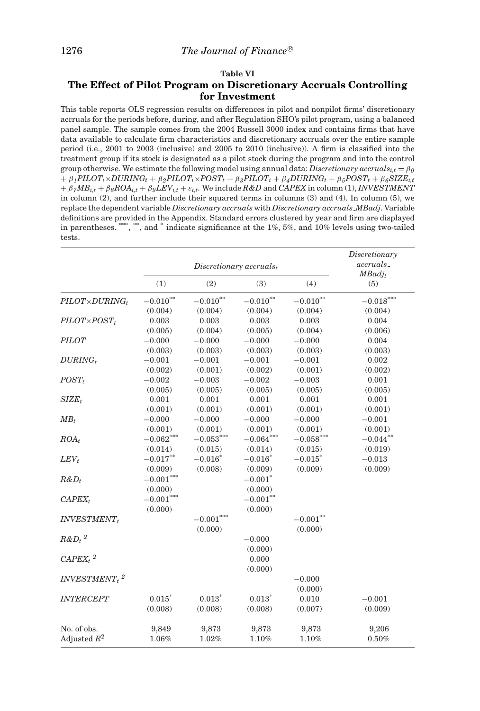# <span id="page-25-0"></span>**Table VI The Effect of Pilot Program on Discretionary Accruals Controlling for Investment**

This table reports OLS regression results on differences in pilot and nonpilot firms' discretionary accruals for the periods before, during, and after Regulation SHO's pilot program, using a balanced panel sample. The sample comes from the 2004 Russell 3000 index and contains firms that have data available to calculate firm characteristics and discretionary accruals over the entire sample period (i.e., 2001 to 2003 (inclusive) and 2005 to 2010 (inclusive)). A firm is classified into the treatment group if its stock is designated as a pilot stock during the program and into the control group otherwise. We estimate the following model using annual data: *Discretionary accruals<sub>it</sub>* =  $\beta_0$  $+ \beta_I PLOT_i \times DURING_t + \beta_2 PLOT_i \times POST_t + \beta_3 PLOT_i + \beta_4 DURING_t + \beta_5 POST_t + \beta_6 SIZE_{i,t}$ + β*7MBi,t* + β*8ROAi,t* + β*9LEVi,t* + ε*i,t.* We include *R&D* and *CAPEX* in column (1), *INVESTMENT* in column (2), and further include their squared terms in columns (3) and (4). In column (5), we replace the dependent variable *Discretionary accruals* with *Discretionary accruals MBadj*. Variable definitions are provided in the Appendix. Standard errors clustered by year and firm are displayed in parentheses. \*\*\*, \*\*, and \* indicate significance at the 1%, 5%, and 10% levels using two-tailed tests.

|                                 |             |                        | Discretionary accruals $_t$ |              | Discretionary<br>accruals_<br>$MBadi_t$ |
|---------------------------------|-------------|------------------------|-----------------------------|--------------|-----------------------------------------|
|                                 | (1)         | (2)                    | (3)                         | (4)          | (5)                                     |
| $PILOT \times DURING_t$         | $-0.010***$ | $-0.010$ <sup>**</sup> | $-0.010***$                 | $-0.010***$  | $-0.018***$                             |
|                                 | (0.004)     | (0.004)                | (0.004)                     | (0.004)      | (0.004)                                 |
| $PILOT \times POST_t$           | 0.003       | 0.003                  | 0.003                       | 0.003        | 0.004                                   |
|                                 | (0.005)     | (0.004)                | (0.005)                     | (0.004)      | (0.006)                                 |
| <b>PILOT</b>                    | $-0.000$    | $-0.000$               | $-0.000$                    | $-0.000$     | 0.004                                   |
|                                 | (0.003)     | (0.003)                | (0.003)                     | (0.003)      | (0.003)                                 |
| $DURING_t$                      | $-0.001$    | $-0.001$               | $-0.001$                    | $-0.001$     | 0.002                                   |
|                                 | (0.002)     | (0.001)                | (0.002)                     | (0.001)      | (0.002)                                 |
| $POST_t$                        | $-0.002$    | $-0.003$               | $-0.002$                    | $-0.003$     | 0.001                                   |
|                                 | (0.005)     | (0.005)                | (0.005)                     | (0.005)      | (0.005)                                 |
| $SIZE_t$                        | 0.001       | 0.001                  | 0.001                       | 0.001        | 0.001                                   |
|                                 | (0.001)     | (0.001)                | (0.001)                     | (0.001)      | (0.001)                                 |
| $MB_t$                          | $-0.000$    | $-0.000$               | $-0.000$                    | $-0.000$     | $-0.001$                                |
|                                 | (0.001)     | (0.001)                | (0.001)                     | (0.001)      | (0.001)                                 |
| $ROA_t$                         | $-0.062***$ | $-0.053***$            | $-0.064***$                 | $-0.058$ *** | $-0.044$ **                             |
|                                 | (0.014)     | (0.015)                | (0.014)                     | (0.015)      | (0.019)                                 |
| $LEV_t$                         | $-0.017**$  | $-0.016*$              | $-0.016*$                   | $-0.015$ *   | $-0.013$                                |
|                                 | (0.009)     | (0.008)                | (0.009)                     | (0.009)      | (0.009)                                 |
| $R&D_t$                         | $-0.001***$ |                        | $-0.001$ *                  |              |                                         |
|                                 | (0.000)     |                        | (0.000)                     |              |                                         |
| $CAPEX_t$                       | $-0.001***$ |                        | $-0.001***$                 |              |                                         |
|                                 | (0.000)     |                        | (0.000)                     |              |                                         |
| $INVESTMENT_t$                  |             | $-0.001***$            |                             | $-0.001***$  |                                         |
|                                 |             | (0.000)                |                             | (0.000)      |                                         |
| $R\&D_t$ <sup>2</sup>           |             |                        | $-0.000$                    |              |                                         |
|                                 |             |                        | (0.000)                     |              |                                         |
| CAPEX <sub>t</sub> <sup>2</sup> |             |                        | 0.000                       |              |                                         |
|                                 |             |                        | (0.000)                     |              |                                         |
| INVESTMENT, $^{2}$              |             |                        |                             | $-0.000$     |                                         |
|                                 |             |                        |                             | (0.000)      |                                         |
| <b>INTERCEPT</b>                | $0.015*$    | $0.013*$               | $0.013*$                    | 0.010        | $-0.001$                                |
|                                 | (0.008)     | (0.008)                | (0.008)                     | (0.007)      | (0.009)                                 |
| No. of obs.                     | 9,849       | 9,873                  | 9,873                       | 9,873        | 9,206                                   |
| Adjusted $R^2$                  | 1.06%       | 1.02%                  | 1.10%                       | 1.10%        | 0.50%                                   |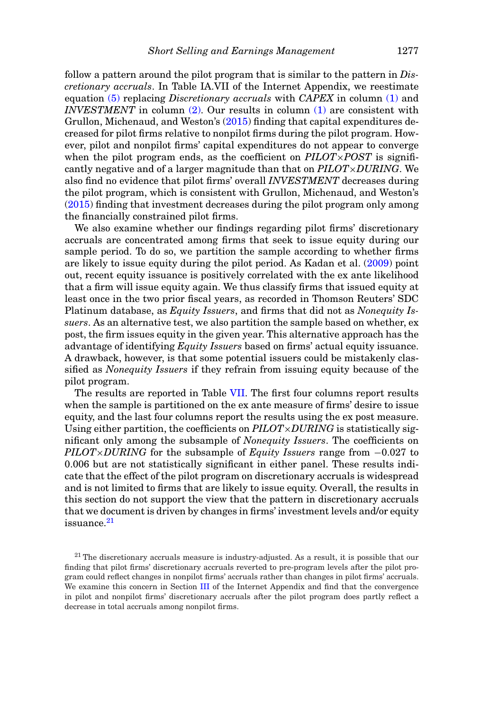follow a pattern around the pilot program that is similar to the pattern in *Discretionary accruals*. In Table IA.VII of the Internet Appendix, we reestimate equation [\(5\)](#page-17-1) replacing *Discretionary accruals* with *CAPEX* in column [\(1\)](#page-8-1) and *INVESTMENT* in column [\(2\).](#page-8-3) Our results in column [\(1\)](#page-8-1) are consistent with Grullon, Michenaud, and Weston's [\(2015\)](#page-41-3) finding that capital expenditures decreased for pilot firms relative to nonpilot firms during the pilot program. However, pilot and nonpilot firms' capital expenditures do not appear to converge when the pilot program ends, as the coefficient on *PILOT*×*POST* is significantly negative and of a larger magnitude than that on *PILOT*×*DURING*. We also find no evidence that pilot firms' overall *INVESTMENT* decreases during the pilot program, which is consistent with Grullon, Michenaud, and Weston's [\(2015\)](#page-41-3) finding that investment decreases during the pilot program only among the financially constrained pilot firms.

We also examine whether our findings regarding pilot firms' discretionary accruals are concentrated among firms that seek to issue equity during our sample period. To do so, we partition the sample according to whether firms are likely to issue equity during the pilot period. As Kadan et al. [\(2009\)](#page-41-21) point out, recent equity issuance is positively correlated with the ex ante likelihood that a firm will issue equity again. We thus classify firms that issued equity at least once in the two prior fiscal years, as recorded in Thomson Reuters' SDC Platinum database, as *Equity Issuers*, and firms that did not as *Nonequity Issuers*. As an alternative test, we also partition the sample based on whether, ex post, the firm issues equity in the given year. This alternative approach has the advantage of identifying *Equity Issuers* based on firms' actual equity issuance. A drawback, however, is that some potential issuers could be mistakenly classified as *Nonequity Issuers* if they refrain from issuing equity because of the pilot program.

The results are reported in Table [VII.](#page-27-0) The first four columns report results when the sample is partitioned on the ex ante measure of firms' desire to issue equity, and the last four columns report the results using the ex post measure. Using either partition, the coefficients on *PILOT*×*DURING* is statistically significant only among the subsample of *Nonequity Issuers*. The coefficients on *PILOT*×*DURING* for the subsample of *Equity Issuers* range from −0.027 to 0.006 but are not statistically significant in either panel. These results indicate that the effect of the pilot program on discretionary accruals is widespread and is not limited to firms that are likely to issue equity. Overall, the results in this section do not support the view that the pattern in discretionary accruals that we document is driven by changes in firms' investment levels and/or equity issuance.[21](#page-26-0)

<span id="page-26-0"></span> $21$  The discretionary accruals measure is industry-adjusted. As a result, it is possible that our finding that pilot firms' discretionary accruals reverted to pre-program levels after the pilot program could reflect changes in nonpilot firms' accruals rather than changes in pilot firms' accruals. We examine this concern in Section [III](#page-15-0) of the Internet Appendix and find that the convergence in pilot and nonpilot firms' discretionary accruals after the pilot program does partly reflect a decrease in total accruals among nonpilot firms.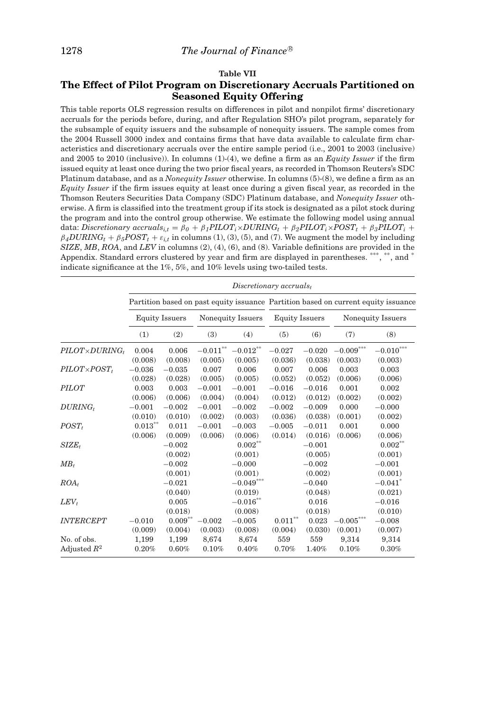# <span id="page-27-0"></span>**Table VII The Effect of Pilot Program on Discretionary Accruals Partitioned on Seasoned Equity Offering**

This table reports OLS regression results on differences in pilot and nonpilot firms' discretionary accruals for the periods before, during, and after Regulation SHO's pilot program, separately for the subsample of equity issuers and the subsample of nonequity issuers. The sample comes from the 2004 Russell 3000 index and contains firms that have data available to calculate firm characteristics and discretionary accruals over the entire sample period (i.e., 2001 to 2003 (inclusive) and 2005 to 2010 (inclusive)). In columns (1)-(4), we define a firm as an *Equity Issuer* if the firm issued equity at least once during the two prior fiscal years, as recorded in Thomson Reuters's SDC Platinum database, and as a *Nonequity Issuer* otherwise. In columns (5)-(8), we define a firm as an *Equity Issuer* if the firm issues equity at least once during a given fiscal year, as recorded in the Thomson Reuters Securities Data Company (SDC) Platinum database, and *Nonequity Issuer* otherwise. A firm is classified into the treatment group if its stock is designated as a pilot stock during the program and into the control group otherwise. We estimate the following model using annual data: *Discretionary accruals<sub>i,t</sub>* =  $\beta_0 + \beta_1 PLOT_i \times DURING_t + \beta_2 PLOT_i \times POST_t + \beta_3 PLOT_i +$  $\beta_4 DURING_t + \beta_5 POST_t + \varepsilon_{i,t}$  in columns (1), (3), (5), and (7). We augment the model by including *SIZE*, *MB*, *ROA*, and *LEV* in columns (2), (4), (6), and (8). Variable definitions are provided in the Appendix. Standard errors clustered by year and firm are displayed in parentheses. \*\*\*, \*\*\*, and \* indicate significance at the 1%, 5%, and 10% levels using two-tailed tests.

|                         | Discretionary accruals, |                    |                                  |                       |                                                                                    |          |                         |                       |
|-------------------------|-------------------------|--------------------|----------------------------------|-----------------------|------------------------------------------------------------------------------------|----------|-------------------------|-----------------------|
|                         |                         |                    |                                  |                       | Partition based on past equity issuance Partition based on current equity issuance |          |                         |                       |
|                         | <b>Equity Issuers</b>   |                    | Nonequity Issuers                | <b>Equity Issuers</b> |                                                                                    |          | Nonequity Issuers       |                       |
|                         | (1)                     | (2)                | (3)                              | (4)                   | (5)                                                                                | (6)      | (7)                     | (8)                   |
| $PILOT \times DURING_t$ | 0.004                   | 0.006              | $\textcolor{black}{-0.011}^{**}$ | $-0.012***$           | $-0.027$                                                                           | $-0.020$ | $-0.009^{\ast\ast\ast}$ | $-0.010^{***}\,$      |
|                         | (0.008)                 | (0.008)            | (0.005)                          | (0.005)               | (0.036)                                                                            | (0.038)  | (0.003)                 | (0.003)               |
| $PILOT \times POST_t$   | $-0.036$                | $-0.035$           | 0.007                            | 0.006                 | 0.007                                                                              | 0.006    | 0.003                   | 0.003                 |
|                         | (0.028)                 | (0.028)            | (0.005)                          | (0.005)               | (0.052)                                                                            | (0.052)  | (0.006)                 | (0.006)               |
| <b>PILOT</b>            | 0.003                   | 0.003              | $-0.001$                         | $-0.001$              | $-0.016$                                                                           | $-0.016$ | 0.001                   | 0.002                 |
|                         | (0.006)                 | (0.006)            | (0.004)                          | (0.004)               | (0.012)                                                                            | (0.012)  | (0.002)                 | (0.002)               |
| $DURING_t$              | $-0.001$                | $-0.002$           | $-0.001$                         | $-0.002$              | $-0.002$                                                                           | $-0.009$ | 0.000                   | $-0.000$              |
|                         | (0.010)                 | (0.010)            | (0.002)                          | (0.003)               | (0.036)                                                                            | (0.038)  | (0.001)                 | (0.002)               |
| $POST_t$                | $0.013^{\ast\ast}$      | 0.011              | $-0.001$                         | $-0.003$              | $-0.005$                                                                           | $-0.011$ | 0.001                   | 0.000                 |
|                         | (0.006)                 | (0.009)            | (0.006)                          | (0.006)               | (0.014)                                                                            | (0.016)  | (0.006)                 | (0.006)               |
| $SIZE_t$                |                         | $-0.002$           |                                  | $0.002**$             |                                                                                    | $-0.001$ |                         | $0.002***$            |
|                         |                         | (0.002)            |                                  | (0.001)               |                                                                                    | (0.005)  |                         | (0.001)               |
| $MB_t$                  |                         | $-0.002$           |                                  | $-0.000$              |                                                                                    | $-0.002$ |                         | $-0.001$              |
|                         |                         | (0.001)            |                                  | (0.001)               |                                                                                    | (0.002)  |                         | (0.001)               |
| $ROA_t$                 |                         | $-0.021$           |                                  | $-0.049***$           |                                                                                    | $-0.040$ |                         | $-0.041$ <sup>*</sup> |
|                         |                         | (0.040)            |                                  | (0.019)               |                                                                                    | (0.048)  |                         | (0.021)               |
| $LEV_t$                 |                         | 0.005              |                                  | $-0.016**$            |                                                                                    | 0.016    |                         | $-0.016$              |
|                         |                         | (0.018)            |                                  | (0.008)               |                                                                                    | (0.018)  |                         | (0.010)               |
| <b>INTERCEPT</b>        | $-0.010$                | $0.009^{\ast\ast}$ | $-0.002$                         | $-0.005$              | $0.011^{\ast\ast}$                                                                 | 0.023    | $-0.005^{\ast\ast\ast}$ | $-0.008$              |
|                         | (0.009)                 | (0.004)            | (0.003)                          | (0.008)               | (0.004)                                                                            | (0.030)  | (0.001)                 | (0.007)               |
| No. of obs.             | 1,199                   | 1,199              | 8,674                            | 8,674                 | 559                                                                                | 559      | 9,314                   | 9,314                 |
| Adjusted $R^2$          | 0.20%                   | 0.60%              | 0.10%                            | 0.40%                 | 0.70%                                                                              | 1.40%    | 0.10%                   | 0.30%                 |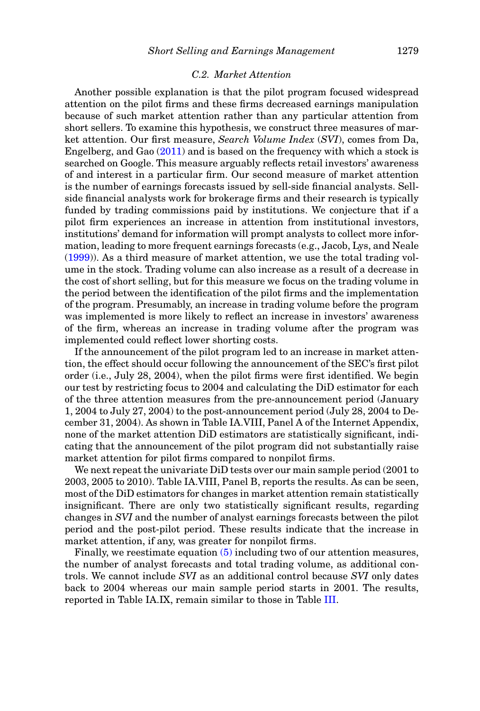# *C.2. Market Attention*

Another possible explanation is that the pilot program focused widespread attention on the pilot firms and these firms decreased earnings manipulation because of such market attention rather than any particular attention from short sellers. To examine this hypothesis, we construct three measures of market attention. Our first measure, *Search Volume Index* (*SVI*), comes from Da, Engelberg, and Gao [\(2011\)](#page-40-18) and is based on the frequency with which a stock is searched on Google. This measure arguably reflects retail investors' awareness of and interest in a particular firm. Our second measure of market attention is the number of earnings forecasts issued by sell-side financial analysts. Sellside financial analysts work for brokerage firms and their research is typically funded by trading commissions paid by institutions. We conjecture that if a pilot firm experiences an increase in attention from institutional investors, institutions' demand for information will prompt analysts to collect more information, leading to more frequent earnings forecasts (e.g., Jacob, Lys, and Neale [\(1999\)](#page-41-22)). As a third measure of market attention, we use the total trading volume in the stock. Trading volume can also increase as a result of a decrease in the cost of short selling, but for this measure we focus on the trading volume in the period between the identification of the pilot firms and the implementation of the program. Presumably, an increase in trading volume before the program was implemented is more likely to reflect an increase in investors' awareness of the firm, whereas an increase in trading volume after the program was implemented could reflect lower shorting costs.

If the announcement of the pilot program led to an increase in market attention, the effect should occur following the announcement of the SEC's first pilot order (i.e., July 28, 2004), when the pilot firms were first identified. We begin our test by restricting focus to 2004 and calculating the DiD estimator for each of the three attention measures from the pre-announcement period (January 1, 2004 to July 27, 2004) to the post-announcement period (July 28, 2004 to December 31, 2004). As shown in Table IA.VIII, Panel A of the Internet Appendix, none of the market attention DiD estimators are statistically significant, indicating that the announcement of the pilot program did not substantially raise market attention for pilot firms compared to nonpilot firms.

We next repeat the univariate DiD tests over our main sample period (2001 to 2003, 2005 to 2010). Table IA.VIII, Panel B, reports the results. As can be seen, most of the DiD estimators for changes in market attention remain statistically insignificant. There are only two statistically significant results, regarding changes in *SVI* and the number of analyst earnings forecasts between the pilot period and the post-pilot period. These results indicate that the increase in market attention, if any, was greater for nonpilot firms.

Finally, we reestimate equation [\(5\)](#page-17-1) including two of our attention measures, the number of analyst forecasts and total trading volume, as additional controls. We cannot include *SVI* as an additional control because *SVI* only dates back to 2004 whereas our main sample period starts in 2001. The results, reported in Table IA.IX, remain similar to those in Table [III.](#page-18-0)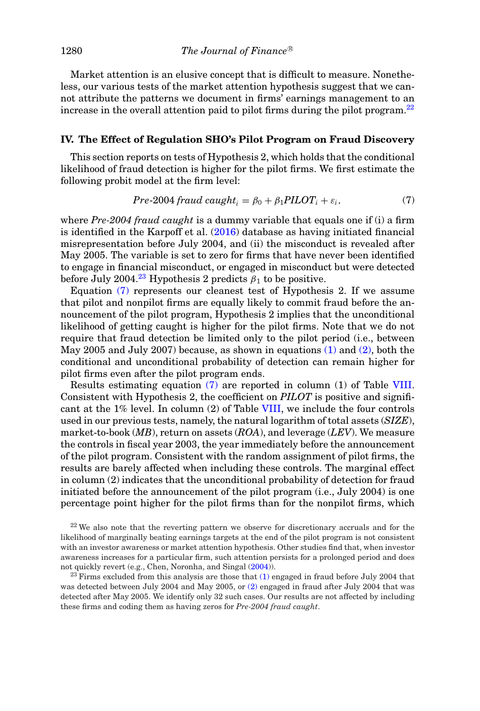Market attention is an elusive concept that is difficult to measure. Nonetheless, our various tests of the market attention hypothesis suggest that we cannot attribute the patterns we document in firms' earnings management to an increase in the overall attention paid to pilot firms during the pilot program.<sup>[22](#page-29-1)</sup>

### <span id="page-29-0"></span>**IV. The Effect of Regulation SHO's Pilot Program on Fraud Discovery**

This section reports on tests of Hypothesis 2, which holds that the conditional likelihood of fraud detection is higher for the pilot firms. We first estimate the following probit model at the firm level:

<span id="page-29-3"></span>
$$
Pre\text{-}2004\, \text{frau } \text{caught}_i = \beta_0 + \beta_1 PILOT_i + \varepsilon_i,\tag{7}
$$

where *Pre-2004 fraud caught* is a dummy variable that equals one if (i) a firm is identified in the Karpoff et al. [\(2016\)](#page-41-15) database as having initiated financial misrepresentation before July 2004, and (ii) the misconduct is revealed after May 2005. The variable is set to zero for firms that have never been identified to engage in financial misconduct, or engaged in misconduct but were detected before July 2004.<sup>[23](#page-29-2)</sup> Hypothesis 2 predicts  $\beta_1$  to be positive.

Equation [\(7\)](#page-29-3) represents our cleanest test of Hypothesis 2. If we assume that pilot and nonpilot firms are equally likely to commit fraud before the announcement of the pilot program, Hypothesis 2 implies that the unconditional likelihood of getting caught is higher for the pilot firms. Note that we do not require that fraud detection be limited only to the pilot period (i.e., between May 2005 and July 2007) because, as shown in equations  $(1)$  and  $(2)$ , both the conditional and unconditional probability of detection can remain higher for pilot firms even after the pilot program ends.

Results estimating equation [\(7\)](#page-29-3) are reported in column (1) of Table [VIII.](#page-30-0) Consistent with Hypothesis 2, the coefficient on *PILOT* is positive and significant at the 1% level. In column (2) of Table [VIII,](#page-30-0) we include the four controls used in our previous tests, namely, the natural logarithm of total assets (*SIZE*), market-to-book (*MB*), return on assets (*ROA*), and leverage (*LEV*). We measure the controls in fiscal year 2003, the year immediately before the announcement of the pilot program. Consistent with the random assignment of pilot firms, the results are barely affected when including these controls. The marginal effect in column (2) indicates that the unconditional probability of detection for fraud initiated before the announcement of the pilot program (i.e., July 2004) is one percentage point higher for the pilot firms than for the nonpilot firms, which

<span id="page-29-1"></span> $22$  We also note that the reverting pattern we observe for discretionary accruals and for the likelihood of marginally beating earnings targets at the end of the pilot program is not consistent with an investor awareness or market attention hypothesis. Other studies find that, when investor awareness increases for a particular firm, such attention persists for a prolonged period and does not quickly revert (e.g., Chen, Noronha, and Singal [\(2004\)](#page-40-19)).

<span id="page-29-2"></span> $^{23}$  Firms excluded from this analysis are those that [\(1\)](#page-8-1) engaged in fraud before July 2004 that was detected between July 2004 and May 2005, or [\(2\)](#page-8-3) engaged in fraud after July 2004 that was detected after May 2005. We identify only 32 such cases. Our results are not affected by including these firms and coding them as having zeros for *Pre-2004 fraud caught*.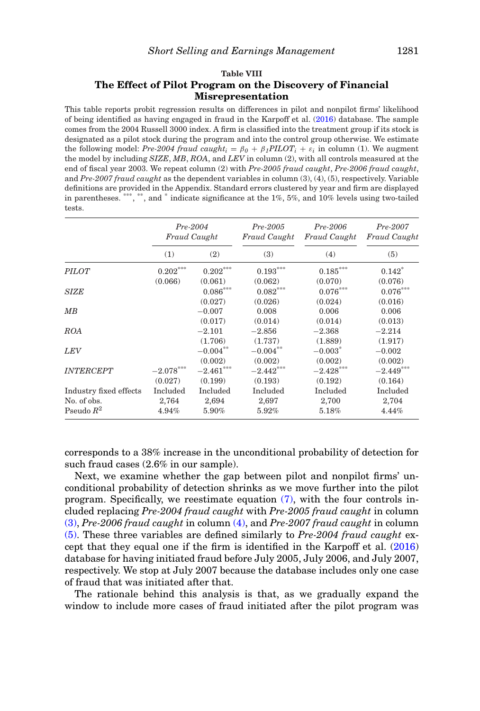# **Table VIII The Effect of Pilot Program on the Discovery of Financial Misrepresentation**

<span id="page-30-0"></span>This table reports probit regression results on differences in pilot and nonpilot firms' likelihood of being identified as having engaged in fraud in the Karpoff et al. [\(2016\)](#page-41-15) database. The sample comes from the 2004 Russell 3000 index. A firm is classified into the treatment group if its stock is designated as a pilot stock during the program and into the control group otherwise. We estimate the following model: *Pre-2004 fraud caught<sub>i</sub>* =  $\beta_0 + \beta_1 PILOT_i + \varepsilon_i$  in column (1). We augment the model by including *SIZE*, *MB*, *ROA*, and *LEV* in column (2), with all controls measured at the end of fiscal year 2003. We repeat column (2) with *Pre-2005 fraud caught*, *Pre-2006 fraud caught*, and *Pre-2007 fraud caught* as the dependent variables in column (3), (4), (5), respectively. Variable definitions are provided in the Appendix. Standard errors clustered by year and firm are displayed in parentheses. \*\*\*, \*\*, and \* indicate significance at the 1%, 5%, and 10% levels using two-tailed tests.

|                        | Pre-2004<br>Fraud Caught |                        | Pre-2005<br>Pre-2006<br>Fraud Caught<br>Fraud Caught |                        | Pre-2007<br>Fraud Caught |  |
|------------------------|--------------------------|------------------------|------------------------------------------------------|------------------------|--------------------------|--|
|                        | (1)                      | (2)                    | (3)                                                  | (4)                    | (5)                      |  |
| <b>PILOT</b>           | $0.202\sp{***}$          | $0.202^{\ast\ast\ast}$ | $0.193^{\ast\ast\ast}$                               | $0.185^{\ast\ast\ast}$ | $0.142^{*}$              |  |
|                        | (0.066)                  | (0.061)                | (0.062)                                              | (0.070)                | (0.076)                  |  |
| <b>SIZE</b>            |                          | $0.086^{\ast\ast\ast}$ | $0.082^{\ast\ast\ast}$                               | $0.076^{\ast\ast\ast}$ | $0.076^{\ast\ast\ast}$   |  |
|                        |                          | (0.027)                | (0.026)                                              | (0.024)                | (0.016)                  |  |
| MB                     |                          | $-0.007$               | 0.008                                                | 0.006                  | 0.006                    |  |
|                        |                          | (0.017)                | (0.014)                                              | (0.014)                | (0.013)                  |  |
| ROA                    |                          | $^{-2.101}$            | $-2.856$                                             | $-2.368$               | $-2.214$                 |  |
|                        |                          | (1.706)                | (1.737)                                              | (1.889)                | (1.917)                  |  |
| LEV                    |                          | $-0.004***$            | $-0.004***$                                          | $-0.003*$              | $-0.002$                 |  |
|                        |                          | (0.002)                | (0.002)                                              | (0.002)                | (0.002)                  |  |
| <b>INTERCEPT</b>       | $-2.078^{\ast\ast\ast}$  | $-2.461$ ***           | $-2.442***$                                          | $-2.428***$            | $-2.449***$              |  |
|                        | (0.027)                  | (0.199)                | (0.193)                                              | (0.192)                | (0.164)                  |  |
| Industry fixed effects | Included                 | Included               | Included                                             | Included               | Included                 |  |
| No. of obs.            | 2,764                    | 2,694                  | 2,697                                                | 2,700                  | 2,704                    |  |
| Pseudo $R^2$           | 4.94%                    | 5.90%                  | 5.92%                                                | 5.18%                  | 4.44%                    |  |

corresponds to a 38% increase in the unconditional probability of detection for such fraud cases (2.6% in our sample).

Next, we examine whether the gap between pilot and nonpilot firms' unconditional probability of detection shrinks as we move further into the pilot program. Specifically, we reestimate equation [\(7\),](#page-29-3) with the four controls included replacing *Pre-2004 fraud caught* with *Pre-2005 fraud caught* in column [\(3\),](#page-12-0) *Pre-2006 fraud caught* in column [\(4\),](#page-12-1) and *Pre-2007 fraud caught* in column [\(5\).](#page-17-1) These three variables are defined similarly to *Pre-2004 fraud caught* except that they equal one if the firm is identified in the Karpoff et al. [\(2016\)](#page-41-15) database for having initiated fraud before July 2005, July 2006, and July 2007, respectively. We stop at July 2007 because the database includes only one case of fraud that was initiated after that.

The rationale behind this analysis is that, as we gradually expand the window to include more cases of fraud initiated after the pilot program was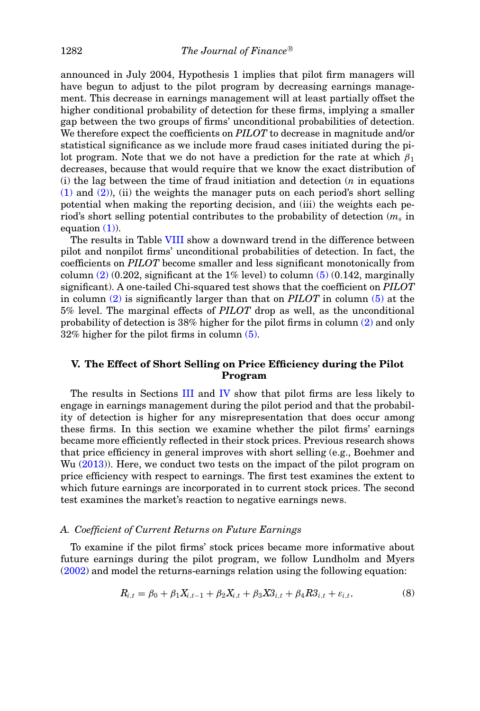announced in July 2004, Hypothesis 1 implies that pilot firm managers will have begun to adjust to the pilot program by decreasing earnings management. This decrease in earnings management will at least partially offset the higher conditional probability of detection for these firms, implying a smaller gap between the two groups of firms' unconditional probabilities of detection. We therefore expect the coefficients on *PILOT* to decrease in magnitude and/or statistical significance as we include more fraud cases initiated during the pilot program. Note that we do not have a prediction for the rate at which  $\beta_1$ decreases, because that would require that we know the exact distribution of (i) the lag between the time of fraud initiation and detection (*n* in equations  $(1)$  and  $(2)$ ), (ii) the weights the manager puts on each period's short selling potential when making the reporting decision, and (iii) the weights each period's short selling potential contributes to the probability of detection (*ms* in equation  $(1)$ ).

The results in Table [VIII](#page-30-0) show a downward trend in the difference between pilot and nonpilot firms' unconditional probabilities of detection. In fact, the coefficients on *PILOT* become smaller and less significant monotonically from column  $(2)$  (0.202, significant at the 1% level) to column  $(5)$  (0.142, marginally significant). A one-tailed Chi-squared test shows that the coefficient on *PILOT* in column [\(2\)](#page-8-3) is significantly larger than that on *PILOT* in column [\(5\)](#page-17-1) at the 5% level. The marginal effects of *PILOT* drop as well, as the unconditional probability of detection is 38% higher for the pilot firms in column [\(2\)](#page-8-3) and only 32% higher for the pilot firms in column [\(5\).](#page-17-1)

# <span id="page-31-0"></span>**V. The Effect of Short Selling on Price Efficiency during the Pilot Program**

The results in Sections [III](#page-15-0) and [IV](#page-29-0) show that pilot firms are less likely to engage in earnings management during the pilot period and that the probability of detection is higher for any misrepresentation that does occur among these firms. In this section we examine whether the pilot firms' earnings became more efficiently reflected in their stock prices. Previous research shows that price efficiency in general improves with short selling (e.g., Boehmer and Wu [\(2013\)](#page-40-5)). Here, we conduct two tests on the impact of the pilot program on price efficiency with respect to earnings. The first test examines the extent to which future earnings are incorporated in to current stock prices. The second test examines the market's reaction to negative earnings news.

# *A. Coefficient of Current Returns on Future Earnings*

To examine if the pilot firms' stock prices became more informative about future earnings during the pilot program, we follow Lundholm and Myers [\(2002\)](#page-42-19) and model the returns-earnings relation using the following equation:

<span id="page-31-1"></span>
$$
R_{i,t} = \beta_0 + \beta_1 X_{i,t-1} + \beta_2 X_{i,t} + \beta_3 X_2_{i,t} + \beta_4 R_3_{i,t} + \varepsilon_{i,t},
$$
\n(8)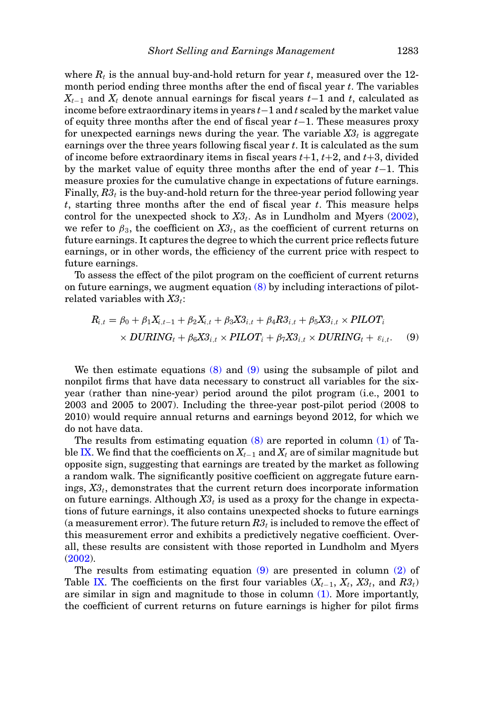where  $R_t$  is the annual buy-and-hold return for year  $t$ , measured over the 12month period ending three months after the end of fiscal year *t*. The variables *Xt*−<sup>1</sup> and *Xt* denote annual earnings for fiscal years *t*−1 and *t*, calculated as income before extraordinary items in years *t*−1 and *t* scaled by the market value of equity three months after the end of fiscal year *t*−1. These measures proxy for unexpected earnings news during the year. The variable  $X3<sub>t</sub>$  is aggregate earnings over the three years following fiscal year *t*. It is calculated as the sum of income before extraordinary items in fiscal years *t*+1, *t*+2, and *t*+3, divided by the market value of equity three months after the end of year *t*−1. This measure proxies for the cumulative change in expectations of future earnings. Finally,  $R3<sub>t</sub>$  is the buy-and-hold return for the three-year period following year *t*, starting three months after the end of fiscal year *t*. This measure helps control for the unexpected shock to  $X3<sub>t</sub>$ . As in Lundholm and Myers [\(2002\)](#page-42-19), we refer to  $\beta_3$ , the coefficient on  $X3_t$ , as the coefficient of current returns on future earnings. It captures the degree to which the current price reflects future earnings, or in other words, the efficiency of the current price with respect to future earnings.

To assess the effect of the pilot program on the coefficient of current returns on future earnings, we augment equation [\(8\)](#page-31-1) by including interactions of pilotrelated variables with *X3t*:

<span id="page-32-0"></span>
$$
R_{i,t} = \beta_0 + \beta_1 X_{i,t-1} + \beta_2 X_{i,t} + \beta_3 X 3_{i,t} + \beta_4 R 3_{i,t} + \beta_5 X 3_{i,t} \times PILOT_i
$$
  
× 
$$
DURING_t + \beta_6 X 3_{i,t} \times PILOT_i + \beta_7 X 3_{i,t} \times DURING_t + \varepsilon_{i,t}.
$$
 (9)

We then estimate equations  $(8)$  and  $(9)$  using the subsample of pilot and nonpilot firms that have data necessary to construct all variables for the sixyear (rather than nine-year) period around the pilot program (i.e., 2001 to 2003 and 2005 to 2007). Including the three-year post-pilot period (2008 to 2010) would require annual returns and earnings beyond 2012, for which we do not have data.

The results from estimating equation  $(8)$  are reported in column  $(1)$  of Ta-ble [IX.](#page-33-0) We find that the coefficients on  $X_{t-1}$  and  $X_t$  are of similar magnitude but opposite sign, suggesting that earnings are treated by the market as following a random walk. The significantly positive coefficient on aggregate future earnings,  $X3<sub>t</sub>$ , demonstrates that the current return does incorporate information on future earnings. Although  $X3<sub>t</sub>$  is used as a proxy for the change in expectations of future earnings, it also contains unexpected shocks to future earnings (a measurement error). The future return  $R_1$  is included to remove the effect of this measurement error and exhibits a predictively negative coefficient. Overall, these results are consistent with those reported in Lundholm and Myers [\(2002\)](#page-42-19).

The results from estimating equation [\(9\)](#page-32-0) are presented in column [\(2\)](#page-8-3) of Table [IX.](#page-33-0) The coefficients on the first four variables  $(X_{t-1}, X_t, X_0^2, X_t)$  and  $R_0^2$ are similar in sign and magnitude to those in column [\(1\).](#page-8-1) More importantly, the coefficient of current returns on future earnings is higher for pilot firms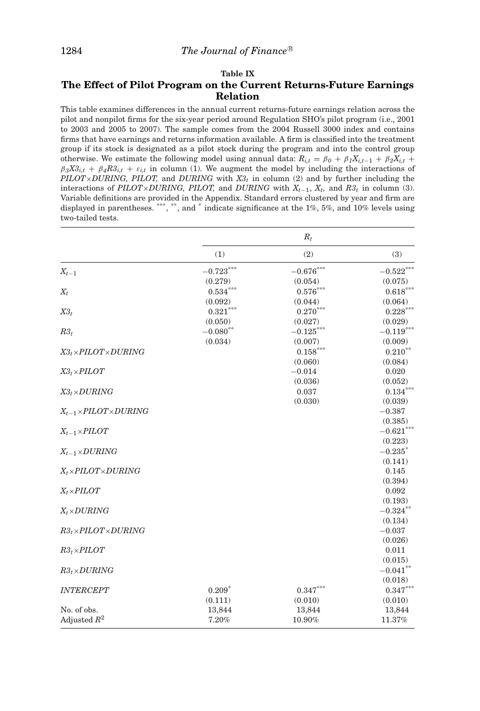# <span id="page-33-0"></span>**Table IX The Effect of Pilot Program on the Current Returns-Future Earnings Relation**

This table examines differences in the annual current returns-future earnings relation across the pilot and nonpilot firms for the six-year period around Regulation SHO's pilot program (i.e., 2001 to 2003 and 2005 to 2007). The sample comes from the 2004 Russell 3000 index and contains firms that have earnings and returns information available. A firm is classified into the treatment group if its stock is designated as a pilot stock during the program and into the control group otherwise. We estimate the following model using annual data:  $R_{i,t} = \beta_0 + \beta_1 X_{i,t-1} + \beta_2 X_{i,t} +$  $\beta_3X3_{i,t} + \beta_4R3_{i,t} + \varepsilon_{i,t}$  in column (1). We augment the model by including the interactions of  $PILOT\times DURING$ ,  $PILOT$ , and  $DURING$  with  $X3<sub>t</sub>$  in column (2) and by further including the interactions of *PILOT*×*DURING, PILOT*, and *DURING* with  $X_{t-1}$ ,  $X_t$ , and  $R3_t$  in column (3). Variable definitions are provided in the Appendix. Standard errors clustered by year and firm are displayed in parentheses. \*\*\*, \*\*, and \* indicate significance at the 1%, 5%, and 10% levels using two-tailed tests.

|                                      |             | $R_t$                  |                        |
|--------------------------------------|-------------|------------------------|------------------------|
|                                      | (1)         | (2)                    | (3)                    |
| $X_{t-1}$                            | $-0.723***$ | $-0.676***$            | $-0.522$ ***           |
|                                      | (0.279)     | (0.054)                | (0.075)                |
| $X_t$                                | $0.534***$  | $0.576^{\ast\ast\ast}$ | $0.618^{\ast\ast\ast}$ |
|                                      | (0.092)     | (0.044)                | (0.064)                |
| $X3_t$                               | $0.321***$  | $0.270***$             | $0.228***$             |
|                                      | (0.050)     | (0.027)                | (0.029)                |
| $R3_t$                               | $-0.080**$  | $-0.125***$            | $-0.119***$            |
|                                      | (0.034)     | (0.007)                | (0.009)                |
| $X3_t \times PILOT \times DURING$    |             | $0.158^{\ast\ast\ast}$ | $0.210***$             |
|                                      |             | (0.060)                | (0.084)                |
| $X3_t \times PILOT$                  |             | $-0.014$               | 0.020                  |
|                                      |             | (0.036)                | (0.052)                |
| $X3_t \times DURING$                 |             | 0.037                  | $0.134^{\ast\ast\ast}$ |
|                                      |             | (0.030)                | (0.039)                |
| $X_{t-1} \times PILOT \times DURING$ |             |                        | $-0.387$               |
|                                      |             |                        | (0.385)                |
| $X_{t-1} \times PILOT$               |             |                        | $-0.621***$            |
|                                      |             |                        | (0.223)                |
| $X_{t-1}$ ×DURING                    |             |                        | $-0.235$ *             |
|                                      |             |                        | (0.141)                |
| $X_t \times PILOT \times DURING$     |             |                        | 0.145                  |
|                                      |             |                        | (0.394)                |
| $X_t \times PILOT$                   |             |                        | 0.092                  |
|                                      |             |                        | (0.193)                |
| $X_t \times DURING$                  |             |                        | $-0.324***$            |
|                                      |             |                        | (0.134)                |
| $R3_t \times PILOT \times DURING$    |             |                        | $-0.037$               |
|                                      |             |                        | (0.026)                |
| $R3_t \times PILOT$                  |             |                        | 0.011                  |
|                                      |             |                        | (0.015)                |
| $R3_t \times DURING$                 |             |                        | $-0.041***$            |
|                                      |             |                        | (0.018)                |
| <b>INTERCEPT</b>                     | $0.209*$    | $0.347^{\ast\ast\ast}$ | $0.347^{\ast\ast\ast}$ |
|                                      | (0.111)     | (0.010)                | (0.010)                |
| No. of obs.                          | 13,844      | 13,844                 | 13,844                 |
| Adjusted $R^2$                       | 7.20%       | 10.90%                 | 11.37%                 |
|                                      |             |                        |                        |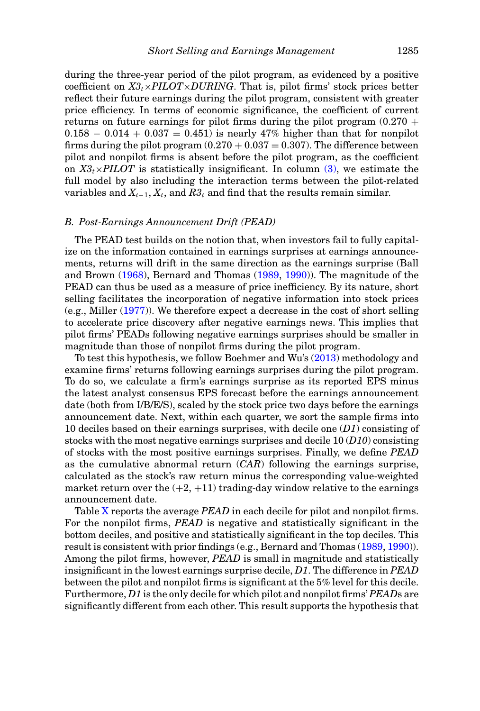during the three-year period of the pilot program, as evidenced by a positive coefficient on  $X3_t \times PILOT \times DURING$ . That is, pilot firms' stock prices better reflect their future earnings during the pilot program, consistent with greater price efficiency. In terms of economic significance, the coefficient of current returns on future earnings for pilot firms during the pilot program  $(0.270 +$  $0.158 - 0.014 + 0.037 = 0.451$  is nearly 47% higher than that for nonpilot firms during the pilot program  $(0.270 + 0.037 = 0.307)$ . The difference between pilot and nonpilot firms is absent before the pilot program, as the coefficient on  $X3_t \times PILOT$  is statistically insignificant. In column [\(3\),](#page-12-0) we estimate the full model by also including the interaction terms between the pilot-related variables and  $X_{t-1}$ ,  $X_t$ , and  $R3_t$  and find that the results remain similar.

### *B. Post-Earnings Announcement Drift (PEAD)*

The PEAD test builds on the notion that, when investors fail to fully capitalize on the information contained in earnings surprises at earnings announcements, returns will drift in the same direction as the earnings surprise (Ball and Brown [\(1968\)](#page-40-20), Bernard and Thomas [\(1989,](#page-40-21) [1990\)](#page-40-22)). The magnitude of the PEAD can thus be used as a measure of price inefficiency. By its nature, short selling facilitates the incorporation of negative information into stock prices (e.g., Miller [\(1977\)](#page-42-5)). We therefore expect a decrease in the cost of short selling to accelerate price discovery after negative earnings news. This implies that pilot firms' PEADs following negative earnings surprises should be smaller in magnitude than those of nonpilot firms during the pilot program.

To test this hypothesis, we follow Boehmer and Wu's [\(2013\)](#page-40-5) methodology and examine firms' returns following earnings surprises during the pilot program. To do so, we calculate a firm's earnings surprise as its reported EPS minus the latest analyst consensus EPS forecast before the earnings announcement date (both from I/B/E/S), scaled by the stock price two days before the earnings announcement date. Next, within each quarter, we sort the sample firms into 10 deciles based on their earnings surprises, with decile one (*D1*) consisting of stocks with the most negative earnings surprises and decile 10 (*D10*) consisting of stocks with the most positive earnings surprises. Finally, we define *PEAD* as the cumulative abnormal return (*CAR*) following the earnings surprise, calculated as the stock's raw return minus the corresponding value-weighted market return over the  $(+2, +11)$  trading-day window relative to the earnings announcement date.

Table [X](#page-35-1) reports the average *PEAD* in each decile for pilot and nonpilot firms. For the nonpilot firms, *PEAD* is negative and statistically significant in the bottom deciles, and positive and statistically significant in the top deciles. This result is consistent with prior findings (e.g., Bernard and Thomas [\(1989,](#page-40-21) [1990\)](#page-40-22)). Among the pilot firms, however, *PEAD* is small in magnitude and statistically insignificant in the lowest earnings surprise decile, *D1*. The difference in *PEAD* between the pilot and nonpilot firms is significant at the 5% level for this decile. Furthermore, *D1* is the only decile for which pilot and nonpilot firms' *PEAD*s are significantly different from each other. This result supports the hypothesis that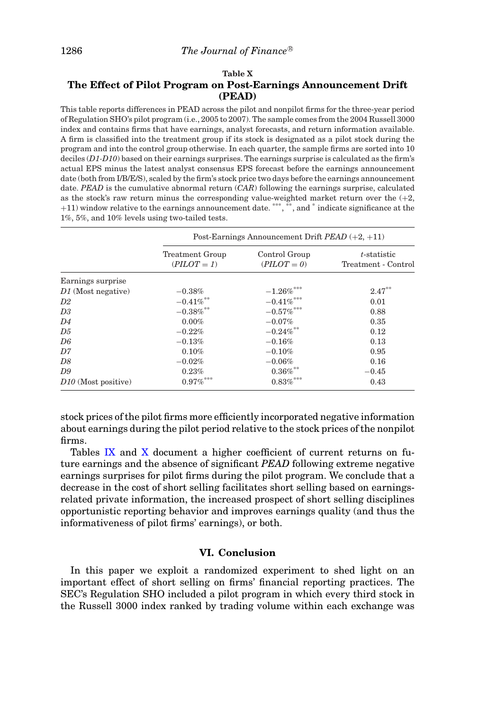# <span id="page-35-1"></span>**Table X The Effect of Pilot Program on Post-Earnings Announcement Drift (PEAD)**

This table reports differences in PEAD across the pilot and nonpilot firms for the three-year period of Regulation SHO's pilot program (i.e., 2005 to 2007). The sample comes from the 2004 Russell 3000 index and contains firms that have earnings, analyst forecasts, and return information available. A firm is classified into the treatment group if its stock is designated as a pilot stock during the program and into the control group otherwise. In each quarter, the sample firms are sorted into 10 deciles (*D1-D10*) based on their earnings surprises. The earnings surprise is calculated as the firm's actual EPS minus the latest analyst consensus EPS forecast before the earnings announcement date (both from I/B/E/S), scaled by the firm's stock price two days before the earnings announcement date. *PEAD* is the cumulative abnormal return (*CAR*) following the earnings surprise, calculated as the stock's raw return minus the corresponding value-weighted market return over the (+2,  $+11$ ) window relative to the earnings announcement date. \*\*\*, \*\*, and \* indicate significance at the 1%, 5%, and 10% levels using two-tailed tests.

|                       |                                         | Post-Earnings Announcement Drift $PEAD (+2, +11)$ |                                       |
|-----------------------|-----------------------------------------|---------------------------------------------------|---------------------------------------|
|                       | <b>Treatment Group</b><br>$(PILOT = 1)$ | Control Group<br>$(PILOT = 0)$                    | $t$ -statistic<br>Treatment - Control |
| Earnings surprise     |                                         |                                                   |                                       |
| $D1$ (Most negative)  | $-0.38\%$                               | $-1.26\%$ ***                                     | $2.47***$                             |
| D2                    | $-0.41\%$ <sup>**</sup>                 | $-0.41\%$ ***                                     | 0.01                                  |
| D <sub>3</sub>        | $-0.38\%$ **                            | $-0.57\%$ ***                                     | 0.88                                  |
| D <sub>4</sub>        | 0.00%                                   | $-0.07\%$                                         | 0.35                                  |
| D <sub>5</sub>        | $-0.22%$                                | $-0.24\%$ <sup>**</sup>                           | 0.12                                  |
| D6                    | $-0.13%$                                | $-0.16%$                                          | 0.13                                  |
| D7                    | $0.10\%$                                | $-0.10\%$                                         | 0.95                                  |
| D8                    | $-0.02\%$                               | $-0.06%$                                          | 0.16                                  |
| D9                    | 0.23%                                   | $0.36\%$ **                                       | $-0.45$                               |
| $D10$ (Most positive) | $0.97\%$ ***                            | $0.83\%$ ***                                      | 0.43                                  |

stock prices of the pilot firms more efficiently incorporated negative information about earnings during the pilot period relative to the stock prices of the nonpilot firms.

Tables [IX](#page-33-0) and [X](#page-35-1) document a higher coefficient of current returns on future earnings and the absence of significant *PEAD* following extreme negative earnings surprises for pilot firms during the pilot program. We conclude that a decrease in the cost of short selling facilitates short selling based on earningsrelated private information, the increased prospect of short selling disciplines opportunistic reporting behavior and improves earnings quality (and thus the informativeness of pilot firms' earnings), or both.

# **VI. Conclusion**

<span id="page-35-0"></span>In this paper we exploit a randomized experiment to shed light on an important effect of short selling on firms' financial reporting practices. The SEC's Regulation SHO included a pilot program in which every third stock in the Russell 3000 index ranked by trading volume within each exchange was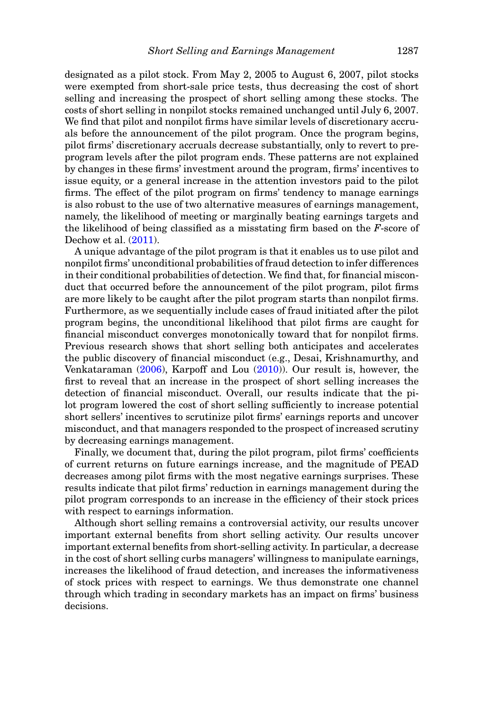designated as a pilot stock. From May 2, 2005 to August 6, 2007, pilot stocks were exempted from short-sale price tests, thus decreasing the cost of short selling and increasing the prospect of short selling among these stocks. The costs of short selling in nonpilot stocks remained unchanged until July 6, 2007. We find that pilot and nonpilot firms have similar levels of discretionary accruals before the announcement of the pilot program. Once the program begins, pilot firms' discretionary accruals decrease substantially, only to revert to preprogram levels after the pilot program ends. These patterns are not explained by changes in these firms' investment around the program, firms' incentives to issue equity, or a general increase in the attention investors paid to the pilot firms. The effect of the pilot program on firms' tendency to manage earnings is also robust to the use of two alternative measures of earnings management, namely, the likelihood of meeting or marginally beating earnings targets and the likelihood of being classified as a misstating firm based on the *F*-score of Dechow et al. [\(2011\)](#page-40-2).

A unique advantage of the pilot program is that it enables us to use pilot and nonpilot firms' unconditional probabilities of fraud detection to infer differences in their conditional probabilities of detection. We find that, for financial misconduct that occurred before the announcement of the pilot program, pilot firms are more likely to be caught after the pilot program starts than nonpilot firms. Furthermore, as we sequentially include cases of fraud initiated after the pilot program begins, the unconditional likelihood that pilot firms are caught for financial misconduct converges monotonically toward that for nonpilot firms. Previous research shows that short selling both anticipates and accelerates the public discovery of financial misconduct (e.g., Desai, Krishnamurthy, and Venkataraman [\(2006\)](#page-41-1), Karpoff and Lou [\(2010\)](#page-42-0)). Our result is, however, the first to reveal that an increase in the prospect of short selling increases the detection of financial misconduct. Overall, our results indicate that the pilot program lowered the cost of short selling sufficiently to increase potential short sellers' incentives to scrutinize pilot firms' earnings reports and uncover misconduct, and that managers responded to the prospect of increased scrutiny by decreasing earnings management.

Finally, we document that, during the pilot program, pilot firms' coefficients of current returns on future earnings increase, and the magnitude of PEAD decreases among pilot firms with the most negative earnings surprises. These results indicate that pilot firms' reduction in earnings management during the pilot program corresponds to an increase in the efficiency of their stock prices with respect to earnings information.

Although short selling remains a controversial activity, our results uncover important external benefits from short selling activity. Our results uncover important external benefits from short-selling activity. In particular, a decrease in the cost of short selling curbs managers' willingness to manipulate earnings, increases the likelihood of fraud detection, and increases the informativeness of stock prices with respect to earnings. We thus demonstrate one channel through which trading in secondary markets has an impact on firms' business decisions.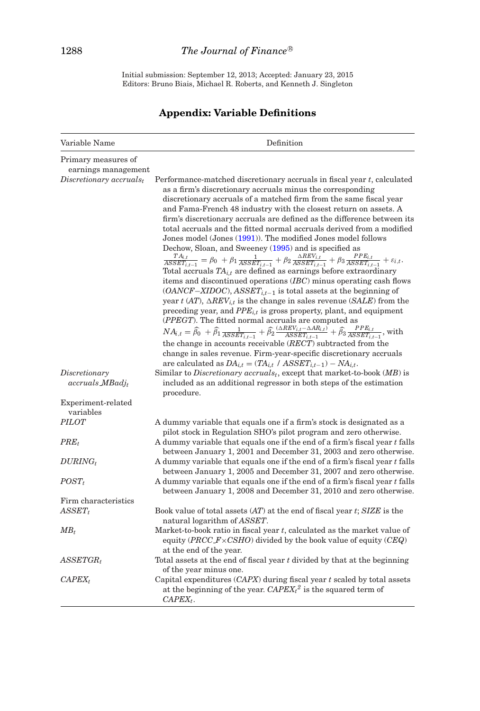Initial submission: September 12, 2013; Accepted: January 23, 2015 Editors: Bruno Biais, Michael R. Roberts, and Kenneth J. Singleton

# **Appendix: Variable Definitions**

| Variable Name                                                       | Definition                                                                                                                                                                                                                                                                                                                                                                                                                                                                                                                                                                                                                                                                                                                                                                                                                                                                                                                                                                                                                                                                                                                                                                                                                                                                                                                                                                                                                                                                                                                                                                                                                                                                           |
|---------------------------------------------------------------------|--------------------------------------------------------------------------------------------------------------------------------------------------------------------------------------------------------------------------------------------------------------------------------------------------------------------------------------------------------------------------------------------------------------------------------------------------------------------------------------------------------------------------------------------------------------------------------------------------------------------------------------------------------------------------------------------------------------------------------------------------------------------------------------------------------------------------------------------------------------------------------------------------------------------------------------------------------------------------------------------------------------------------------------------------------------------------------------------------------------------------------------------------------------------------------------------------------------------------------------------------------------------------------------------------------------------------------------------------------------------------------------------------------------------------------------------------------------------------------------------------------------------------------------------------------------------------------------------------------------------------------------------------------------------------------------|
| Primary measures of<br>earnings management                          |                                                                                                                                                                                                                                                                                                                                                                                                                                                                                                                                                                                                                                                                                                                                                                                                                                                                                                                                                                                                                                                                                                                                                                                                                                                                                                                                                                                                                                                                                                                                                                                                                                                                                      |
| Discretionary accruals $_t$                                         | Performance-matched discretionary accruals in fiscal year t, calculated<br>as a firm's discretionary accruals minus the corresponding<br>discretionary accruals of a matched firm from the same fiscal year<br>and Fama-French 48 industry with the closest return on assets. A<br>firm's discretionary accruals are defined as the difference between its<br>total accruals and the fitted normal accruals derived from a modified<br>Jones model (Jones (1991)). The modified Jones model follows<br>Dechow, Sloan, and Sweeney (1995) and is specified as<br>$\frac{TA_{i,t}}{ASSET_{i,t-1}} = \beta_0 \ + \beta_1 \frac{1}{ASSET_{i,t-1}} + \beta_2 \frac{\Delta REV_{i,t}}{ASSET_{i,t-1}} + \beta_3 \frac{PPE_{i,t}}{ASSET_{i,t-1}} + \varepsilon_{i,t}.$<br>Total accruals $TA_{i,t}$ are defined as earnings before extraordinary<br>items and discontinued operations $(BC)$ minus operating cash flows<br>$(OANCF-XIDOC)$ , $ASSET_{i,t-1}$ is total assets at the beginning of<br>year $t (AT)$ , $\triangle REV_{i,t}$ is the change in sales revenue (SALE) from the<br>preceding year, and $PPE_{i,t}$ is gross property, plant, and equipment<br>(PPEGT). The fitted normal accruals are computed as<br>$NA_{i,t} = \widehat{\beta}_0 \ + \widehat{\beta}_1 \frac{1}{ASSET_{i,t-1}} + \widehat{\beta}_2 \frac{\langle \Delta REV_{i,t} - \Delta A R_{i,t} \rangle}{ASSET_{i,t-1}} + \widehat{\beta}_3 \frac{PPE_{i,t}}{ASSET_{i,t-1}}, \text{ with}$<br>the change in accounts receivable $(RECT)$ subtracted from the<br>change in sales revenue. Firm-year-specific discretionary accruals<br>are calculated as $DA_{i,t} = (TA_{i,t} / ASSET_{i,t-1}) - NA_{i,t}$ . |
| Discretionary<br>$accruals \triangle MBadj_t$<br>Experiment-related | Similar to <i>Discretionary accruals<sub>t</sub></i> , except that market-to-book $(MB)$ is<br>included as an additional regressor in both steps of the estimation<br>procedure.                                                                                                                                                                                                                                                                                                                                                                                                                                                                                                                                                                                                                                                                                                                                                                                                                                                                                                                                                                                                                                                                                                                                                                                                                                                                                                                                                                                                                                                                                                     |
| variables                                                           |                                                                                                                                                                                                                                                                                                                                                                                                                                                                                                                                                                                                                                                                                                                                                                                                                                                                                                                                                                                                                                                                                                                                                                                                                                                                                                                                                                                                                                                                                                                                                                                                                                                                                      |
| PILOT                                                               | A dummy variable that equals one if a firm's stock is designated as a<br>pilot stock in Regulation SHO's pilot program and zero otherwise.                                                                                                                                                                                                                                                                                                                                                                                                                                                                                                                                                                                                                                                                                                                                                                                                                                                                                                                                                                                                                                                                                                                                                                                                                                                                                                                                                                                                                                                                                                                                           |
| $PRE_t$                                                             | A dummy variable that equals one if the end of a firm's fiscal year t falls<br>between January 1, 2001 and December 31, 2003 and zero otherwise.                                                                                                                                                                                                                                                                                                                                                                                                                                                                                                                                                                                                                                                                                                                                                                                                                                                                                                                                                                                                                                                                                                                                                                                                                                                                                                                                                                                                                                                                                                                                     |
| $DURING_t$                                                          | A dummy variable that equals one if the end of a firm's fiscal year t falls<br>between January 1, 2005 and December 31, 2007 and zero otherwise.                                                                                                                                                                                                                                                                                                                                                                                                                                                                                                                                                                                                                                                                                                                                                                                                                                                                                                                                                                                                                                                                                                                                                                                                                                                                                                                                                                                                                                                                                                                                     |
| $POST_t$                                                            | A dummy variable that equals one if the end of a firm's fiscal year t falls<br>between January 1, 2008 and December 31, 2010 and zero otherwise.                                                                                                                                                                                                                                                                                                                                                                                                                                                                                                                                                                                                                                                                                                                                                                                                                                                                                                                                                                                                                                                                                                                                                                                                                                                                                                                                                                                                                                                                                                                                     |
| Firm characteristics                                                |                                                                                                                                                                                                                                                                                                                                                                                                                                                                                                                                                                                                                                                                                                                                                                                                                                                                                                                                                                                                                                                                                                                                                                                                                                                                                                                                                                                                                                                                                                                                                                                                                                                                                      |
| $ASSET_t$                                                           | Book value of total assets $(AT)$ at the end of fiscal year t; SIZE is the<br>natural logarithm of <i>ASSET</i> .                                                                                                                                                                                                                                                                                                                                                                                                                                                                                                                                                                                                                                                                                                                                                                                                                                                                                                                                                                                                                                                                                                                                                                                                                                                                                                                                                                                                                                                                                                                                                                    |
| $MB_t$                                                              | Market-to-book ratio in fiscal year t, calculated as the market value of<br>equity ( <i>PRCC_F</i> $\times$ <i>CSHO</i> ) divided by the book value of equity ( <i>CEQ</i> )<br>at the end of the year.                                                                                                                                                                                                                                                                                                                                                                                                                                                                                                                                                                                                                                                                                                                                                                                                                                                                                                                                                                                                                                                                                                                                                                                                                                                                                                                                                                                                                                                                              |
| ${\rm ASSETGR}_t$                                                   | Total assets at the end of fiscal year t divided by that at the beginning<br>of the year minus one.                                                                                                                                                                                                                                                                                                                                                                                                                                                                                                                                                                                                                                                                                                                                                                                                                                                                                                                                                                                                                                                                                                                                                                                                                                                                                                                                                                                                                                                                                                                                                                                  |
| $\textit{CAPEX}_t$                                                  | Capital expenditures $(CAPX)$ during fiscal year $t$ scaled by total assets<br>at the beginning of the year. $CAPEX_t^2$ is the squared term of<br>$CAPEX_t.$                                                                                                                                                                                                                                                                                                                                                                                                                                                                                                                                                                                                                                                                                                                                                                                                                                                                                                                                                                                                                                                                                                                                                                                                                                                                                                                                                                                                                                                                                                                        |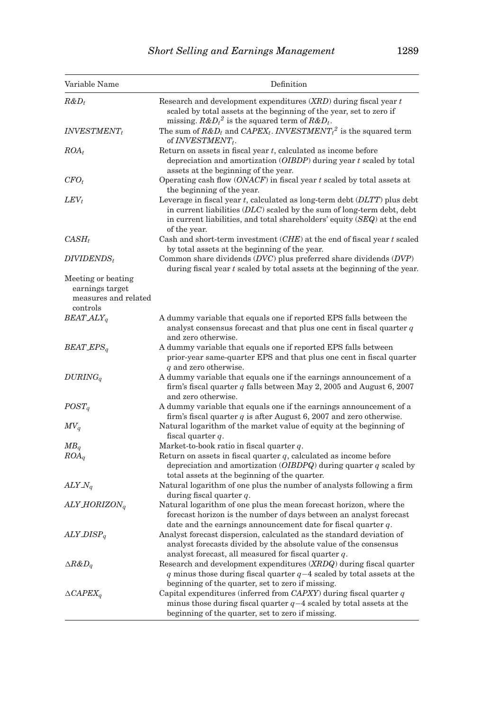| Variable Name                                                             | Definition                                                                                                                                                                                                                                             |
|---------------------------------------------------------------------------|--------------------------------------------------------------------------------------------------------------------------------------------------------------------------------------------------------------------------------------------------------|
| $R\&D_t$                                                                  | Research and development expenditures $(XRD)$ during fiscal year $t$<br>scaled by total assets at the beginning of the year, set to zero if<br>missing. $R\&D_t^2$ is the squared term of $R\&D_t$ .                                                   |
| $INVESTMENT_t$                                                            | The sum of $R\&D_t$ and $CAPEX_t$ . INVESTMENT <sub><math>t^2</math></sub> is the squared term<br>of $INVESTMENT_t$ .                                                                                                                                  |
| $ROA_t$                                                                   | Return on assets in fiscal year $t$ , calculated as income before<br>depreciation and amortization $(OIBDP)$ during year $t$ scaled by total<br>assets at the beginning of the year.                                                                   |
| $CFO_t$                                                                   | Operating cash flow $(ONACF)$ in fiscal year $t$ scaled by total assets at<br>the beginning of the year.                                                                                                                                               |
| $LEV_t$                                                                   | Leverage in fiscal year $t$ , calculated as long-term debt $(DLTT)$ plus debt<br>in current liabilities $(DLC)$ scaled by the sum of long-term debt, debt<br>in current liabilities, and total shareholders' equity $(SEQ)$ at the end<br>of the year. |
| $CASH_t$                                                                  | Cash and short-term investment $(CHE)$ at the end of fiscal year t scaled<br>by total assets at the beginning of the year.                                                                                                                             |
| $DIVIDENDS_t$                                                             | Common share dividends $(DVC)$ plus preferred share dividends $(DVP)$<br>during fiscal year $t$ scaled by total assets at the beginning of the year.                                                                                                   |
| Meeting or beating<br>earnings target<br>measures and related<br>controls |                                                                                                                                                                                                                                                        |
| $BEATALY_q$                                                               | A dummy variable that equals one if reported EPS falls between the<br>analyst consensus forecast and that plus one cent in fiscal quarter $q$<br>and zero otherwise.                                                                                   |
| $BEAT\_EPS_q$                                                             | A dummy variable that equals one if reported EPS falls between<br>prior-year same-quarter EPS and that plus one cent in fiscal quarter<br>q and zero otherwise.                                                                                        |
| $DURING_q$                                                                | A dummy variable that equals one if the earnings announcement of a<br>firm's fiscal quarter $q$ falls between May 2, 2005 and August 6, 2007<br>and zero otherwise.                                                                                    |
| $POST_a$                                                                  | A dummy variable that equals one if the earnings announcement of a<br>firm's fiscal quarter $q$ is after August 6, 2007 and zero otherwise.                                                                                                            |
| $MV_a$                                                                    | Natural logarithm of the market value of equity at the beginning of<br>fiscal quarter $q$ .                                                                                                                                                            |
| $MB_q$                                                                    | Market-to-book ratio in fiscal quarter $q$ .                                                                                                                                                                                                           |
| ROA <sub>a</sub>                                                          | Return on assets in fiscal quarter $q$ , calculated as income before<br>depreciation and amortization $(OIBDPQ)$ during quarter $q$ scaled by<br>total assets at the beginning of the quarter.                                                         |
| $ALYN_a$                                                                  | Natural logarithm of one plus the number of analysts following a firm<br>during fiscal quarter $q$ .                                                                                                                                                   |
| $ALY$ <i>HORIZON</i> <sup><i>q</i></sup>                                  | Natural logarithm of one plus the mean forecast horizon, where the<br>forecast horizon is the number of days between an analyst forecast<br>date and the earnings announcement date for fiscal quarter $q$ .                                           |
| $ALY$ <i>DISP</i> <sup><math>q</math></sup>                               | Analyst forecast dispersion, calculated as the standard deviation of<br>analyst forecasts divided by the absolute value of the consensus<br>analyst forecast, all measured for fiscal quarter $q$ .                                                    |
| $\triangle R\&D_q$                                                        | Research and development expenditures (XRDQ) during fiscal quarter<br>q minus those during fiscal quarter $q-4$ scaled by total assets at the<br>beginning of the quarter, set to zero if missing.                                                     |
| $\triangle CAPEX_{a}$                                                     | Capital expenditures (inferred from $CAPXY$ ) during fiscal quarter $q$<br>minus those during fiscal quarter $q-4$ scaled by total assets at the<br>beginning of the quarter, set to zero if missing.                                                  |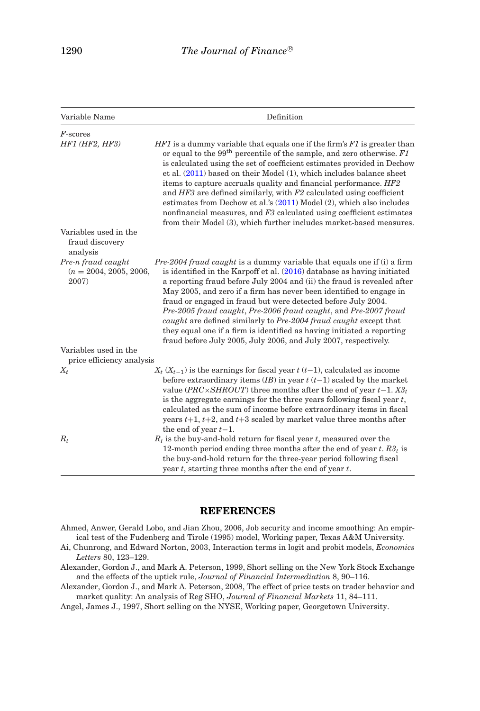| Variable Name                                           | Definition                                                                                                                                                                                                                                                                                                                                                                                                                                                                                                                                                                                                                                                                                          |
|---------------------------------------------------------|-----------------------------------------------------------------------------------------------------------------------------------------------------------------------------------------------------------------------------------------------------------------------------------------------------------------------------------------------------------------------------------------------------------------------------------------------------------------------------------------------------------------------------------------------------------------------------------------------------------------------------------------------------------------------------------------------------|
| $F$ -scores<br><b>HF1</b> (HF2, HF3)                    | <i>HF1</i> is a dummy variable that equals one if the firm's $F1$ is greater than<br>or equal to the $99th$ percentile of the sample, and zero otherwise. $F1$<br>is calculated using the set of coefficient estimates provided in Dechow<br>et al. $(2011)$ based on their Model $(1)$ , which includes balance sheet<br>items to capture accruals quality and financial performance. HF2<br>and $HF3$ are defined similarly, with $F2$ calculated using coefficient<br>estimates from Dechow et al.'s $(2011)$ Model $(2)$ , which also includes<br>nonfinancial measures, and $F3$ calculated using coefficient estimates<br>from their Model (3), which further includes market-based measures. |
| Variables used in the<br>fraud discovery<br>analysis    |                                                                                                                                                                                                                                                                                                                                                                                                                                                                                                                                                                                                                                                                                                     |
| Pre-n fraud caught<br>$(n = 2004, 2005, 2006,$<br>2007) | <i>Pre-2004 fraud caught</i> is a dummy variable that equals one if (i) a firm<br>is identified in the Karpoff et al. $(2016)$ database as having initiated<br>a reporting fraud before July 2004 and (ii) the fraud is revealed after<br>May 2005, and zero if a firm has never been identified to engage in<br>fraud or engaged in fraud but were detected before July 2004.<br>Pre-2005 fraud caught, Pre-2006 fraud caught, and Pre-2007 fraud<br><i>caught</i> are defined similarly to Pre-2004 fraud caught except that<br>they equal one if a firm is identified as having initiated a reporting<br>fraud before July 2005, July 2006, and July 2007, respectively.                         |
| Variables used in the<br>price efficiency analysis      |                                                                                                                                                                                                                                                                                                                                                                                                                                                                                                                                                                                                                                                                                                     |
| $X_t$                                                   | $X_t$ ( $X_{t-1}$ ) is the earnings for fiscal year $t$ ( $t-1$ ), calculated as income<br>before extraordinary items $(B)$ in year $t$ $(t-1)$ scaled by the market<br>value ( <i>PRC</i> × <i>SHROUT</i> ) three months after the end of year $t-1$ . $X3_t$<br>is the aggregate earnings for the three years following fiscal year $t$ ,<br>calculated as the sum of income before extraordinary items in fiscal<br>years $t+1$ , $t+2$ , and $t+3$ scaled by market value three months after<br>the end of year $t-1$ .                                                                                                                                                                         |
| $R_t$                                                   | $R_t$ is the buy-and-hold return for fiscal year t, measured over the<br>12-month period ending three months after the end of year $t$ . $R3_t$ is<br>the buy-and-hold return for the three-year period following fiscal<br>year $t$ , starting three months after the end of year $t$ .                                                                                                                                                                                                                                                                                                                                                                                                            |

# <span id="page-39-5"></span><span id="page-39-4"></span><span id="page-39-2"></span><span id="page-39-1"></span><span id="page-39-0"></span>**REFERENCES**

<span id="page-39-3"></span>Ahmed, Anwer, Gerald Lobo, and Jian Zhou, 2006, Job security and income smoothing: An empirical test of the Fudenberg and Tirole (1995) model, Working paper, Texas A&M University.

Ai, Chunrong, and Edward Norton, 2003, Interaction terms in logit and probit models, *Economics Letters* 80, 123–129.

Alexander, Gordon J., and Mark A. Peterson, 1999, Short selling on the New York Stock Exchange and the effects of the uptick rule, *Journal of Financial Intermediation* 8, 90–116.

Alexander, Gordon J., and Mark A. Peterson, 2008, The effect of price tests on trader behavior and market quality: An analysis of Reg SHO, *Journal of Financial Markets* 11, 84–111.

Angel, James J., 1997, Short selling on the NYSE, Working paper, Georgetown University.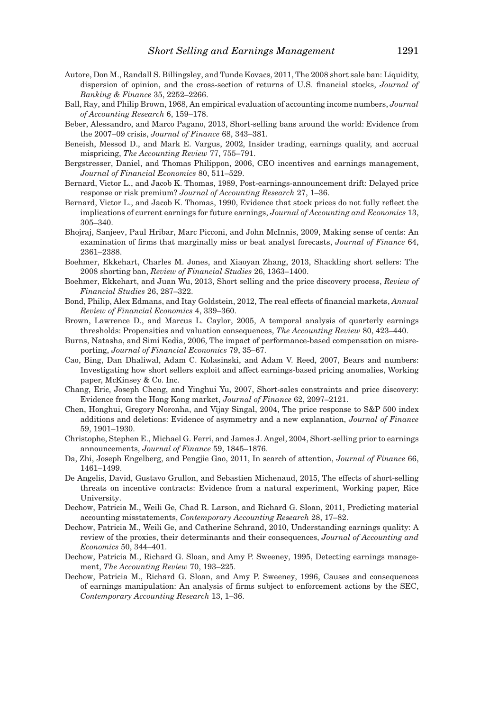- Autore, Don M., Randall S. Billingsley, and Tunde Kovacs, 2011, The 2008 short sale ban: Liquidity, dispersion of opinion, and the cross-section of returns of U.S. financial stocks, *Journal of Banking & Finance* 35, 2252–2266.
- <span id="page-40-20"></span>Ball, Ray, and Philip Brown, 1968, An empirical evaluation of accounting income numbers, *Journal of Accounting Research* 6, 159–178.
- <span id="page-40-13"></span>Beber, Alessandro, and Marco Pagano, 2013, Short-selling bans around the world: Evidence from the 2007–09 crisis, *Journal of Finance* 68, 343–381.
- <span id="page-40-9"></span>Beneish, Messod D., and Mark E. Vargus, 2002, Insider trading, earnings quality, and accrual mispricing, *The Accounting Review* 77, 755–791.
- <span id="page-40-7"></span>Bergstresser, Daniel, and Thomas Philippon, 2006, CEO incentives and earnings management, *Journal of Financial Economics* 80, 511–529.
- <span id="page-40-21"></span>Bernard, Victor L., and Jacob K. Thomas, 1989, Post-earnings-announcement drift: Delayed price response or risk premium? *Journal of Accounting Research* 27, 1–36.
- <span id="page-40-22"></span>Bernard, Victor L., and Jacob K. Thomas, 1990, Evidence that stock prices do not fully reflect the implications of current earnings for future earnings, *Journal of Accounting and Economics* 13, 305–340.
- <span id="page-40-16"></span>Bhojraj, Sanjeev, Paul Hribar, Marc Picconi, and John McInnis, 2009, Making sense of cents: An examination of firms that marginally miss or beat analyst forecasts, *Journal of Finance* 64, 2361–2388.
- <span id="page-40-12"></span>Boehmer, Ekkehart, Charles M. Jones, and Xiaoyan Zhang, 2013, Shackling short sellers: The 2008 shorting ban, *Review of Financial Studies* 26, 1363–1400.
- <span id="page-40-5"></span>Boehmer, Ekkehart, and Juan Wu, 2013, Short selling and the price discovery process, *Review of Financial Studies* 26, 287–322.
- <span id="page-40-6"></span>Bond, Philip, Alex Edmans, and Itay Goldstein, 2012, The real effects of financial markets, *Annual Review of Financial Economics* 4, 339–360.
- <span id="page-40-17"></span>Brown, Lawrence D., and Marcus L. Caylor, 2005, A temporal analysis of quarterly earnings thresholds: Propensities and valuation consequences, *The Accounting Review* 80, 423–440.
- <span id="page-40-8"></span>Burns, Natasha, and Simi Kedia, 2006, The impact of performance-based compensation on misreporting, *Journal of Financial Economics* 79, 35–67.
- <span id="page-40-11"></span>Cao, Bing, Dan Dhaliwal, Adam C. Kolasinski, and Adam V. Reed, 2007, Bears and numbers: Investigating how short sellers exploit and affect earnings-based pricing anomalies, Working paper, McKinsey & Co. Inc.
- <span id="page-40-4"></span>Chang, Eric, Joseph Cheng, and Yinghui Yu, 2007, Short-sales constraints and price discovery: Evidence from the Hong Kong market, *Journal of Finance* 62, 2097–2121.
- <span id="page-40-19"></span>Chen, Honghui, Gregory Noronha, and Vijay Singal, 2004, The price response to S&P 500 index additions and deletions: Evidence of asymmetry and a new explanation, *Journal of Finance* 59, 1901–1930.
- <span id="page-40-1"></span>Christophe, Stephen E., Michael G. Ferri, and James J. Angel, 2004, Short-selling prior to earnings announcements, *Journal of Finance* 59, 1845–1876.
- Da, Zhi, Joseph Engelberg, and Pengjie Gao, 2011, In search of attention, *Journal of Finance* 66, 1461–1499.
- <span id="page-40-18"></span><span id="page-40-14"></span>De Angelis, David, Gustavo Grullon, and Sebastien Michenaud, 2015, The effects of short-selling threats on incentive contracts: Evidence from a natural experiment, Working paper, Rice University.
- <span id="page-40-2"></span>Dechow, Patricia M., Weili Ge, Chad R. Larson, and Richard G. Sloan, 2011, Predicting material accounting misstatements, *Contemporary Accounting Research* 28, 17–82.
- <span id="page-40-3"></span>Dechow, Patricia M., Weili Ge, and Catherine Schrand, 2010, Understanding earnings quality: A review of the proxies, their determinants and their consequences, *Journal of Accounting and Economics* 50, 344–401.
- <span id="page-40-15"></span>Dechow, Patricia M., Richard G. Sloan, and Amy P. Sweeney, 1995, Detecting earnings management, *The Accounting Review* 70, 193–225.
- <span id="page-40-10"></span><span id="page-40-0"></span>Dechow, Patricia M., Richard G. Sloan, and Amy P. Sweeney, 1996, Causes and consequences of earnings manipulation: An analysis of firms subject to enforcement actions by the SEC, *Contemporary Accounting Research* 13, 1–36.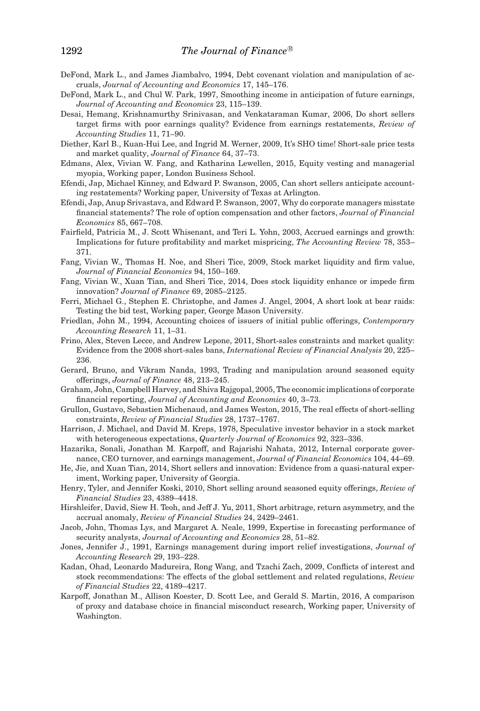- DeFond, Mark L., and James Jiambalvo, 1994, Debt covenant violation and manipulation of accruals, *Journal of Accounting and Economics* 17, 145–176.
- <span id="page-41-11"></span>DeFond, Mark L., and Chul W. Park, 1997, Smoothing income in anticipation of future earnings, *Journal of Accounting and Economics* 23, 115–139.
- <span id="page-41-1"></span>Desai, Hemang, Krishnamurthy Srinivasan, and Venkataraman Kumar, 2006, Do short sellers target firms with poor earnings quality? Evidence from earnings restatements, *Review of Accounting Studies* 11, 71–90.
- <span id="page-41-2"></span>Diether, Karl B., Kuan-Hui Lee, and Ingrid M. Werner, 2009, It's SHO time! Short-sale price tests and market quality, *Journal of Finance* 64, 37–73.
- Edmans, Alex, Vivian W. Fang, and Katharina Lewellen, 2015, Equity vesting and managerial myopia, Working paper, London Business School.
- <span id="page-41-0"></span>Efendi, Jap, Michael Kinney, and Edward P. Swanson, 2005, Can short sellers anticipate accounting restatements? Working paper, University of Texas at Arlington.
- <span id="page-41-10"></span>Efendi, Jap, Anup Srivastava, and Edward P. Swanson, 2007, Why do corporate managers misstate financial statements? The role of option compensation and other factors, *Journal of Financial Economics* 85, 667–708.
- <span id="page-41-19"></span>Fairfield, Patricia M., J. Scott Whisenant, and Teri L. Yohn, 2003, Accrued earnings and growth: Implications for future profitability and market mispricing, *The Accounting Review* 78, 353– 371.
- <span id="page-41-5"></span>Fang, Vivian W., Thomas H. Noe, and Sheri Tice, 2009, Stock market liquidity and firm value, *Journal of Financial Economics* 94, 150–169.
- <span id="page-41-6"></span>Fang, Vivian W., Xuan Tian, and Sheri Tice, 2014, Does stock liquidity enhance or impede firm innovation? *Journal of Finance* 69, 2085–2125.
- <span id="page-41-9"></span>Ferri, Michael G., Stephen E. Christophe, and James J. Angel, 2004, A short look at bear raids: Testing the bid test, Working paper, George Mason University.
- <span id="page-41-20"></span>Friedlan, John M., 1994, Accounting choices of issuers of initial public offerings, *Contemporary Accounting Research* 11, 1–31.
- <span id="page-41-16"></span>Frino, Alex, Steven Lecce, and Andrew Lepone, 2011, Short-sales constraints and market quality: Evidence from the 2008 short-sales bans, *International Review of Financial Analysis* 20, 225– 236.
- <span id="page-41-7"></span>Gerard, Bruno, and Vikram Nanda, 1993, Trading and manipulation around seasoned equity offerings, *Journal of Finance* 48, 213–245.
- <span id="page-41-18"></span>Graham, John, Campbell Harvey, and Shiva Rajgopal, 2005, The economic implications of corporate financial reporting, *Journal of Accounting and Economics* 40, 3–73.
- <span id="page-41-3"></span>Grullon, Gustavo, Sebastien Michenaud, and James Weston, 2015, The real effects of short-selling constraints, *Review of Financial Studies* 28, 1737–1767.
- <span id="page-41-4"></span>Harrison, J. Michael, and David M. Kreps, 1978, Speculative investor behavior in a stock market with heterogeneous expectations, *Quarterly Journal of Economics* 92, 323–336.
- <span id="page-41-13"></span>Hazarika, Sonali, Jonathan M. Karpoff, and Rajarishi Nahata, 2012, Internal corporate governance, CEO turnover, and earnings management, *Journal of Financial Economics* 104, 44–69.
- <span id="page-41-17"></span>He, Jie, and Xuan Tian, 2014, Short sellers and innovation: Evidence from a quasi-natural experiment, Working paper, University of Georgia.
- <span id="page-41-8"></span>Henry, Tyler, and Jennifer Koski, 2010, Short selling around seasoned equity offerings, *Review of Financial Studies* 23, 4389–4418.
- <span id="page-41-14"></span>Hirshleifer, David, Siew H. Teoh, and Jeff J. Yu, 2011, Short arbitrage, return asymmetry, and the accrual anomaly, *Review of Financial Studies* 24, 2429–2461.
- <span id="page-41-22"></span>Jacob, John, Thomas Lys, and Margaret A. Neale, 1999, Expertise in forecasting performance of security analysts, *Journal of Accounting and Economics* 28, 51–82.
- <span id="page-41-23"></span>Jones, Jennifer J., 1991, Earnings management during import relief investigations, *Journal of Accounting Research* 29, 193–228.
- <span id="page-41-21"></span>Kadan, Ohad, Leonardo Madureira, Rong Wang, and Tzachi Zach, 2009, Conflicts of interest and stock recommendations: The effects of the global settlement and related regulations, *Review of Financial Studies* 22, 4189–4217.
- <span id="page-41-15"></span><span id="page-41-12"></span>Karpoff, Jonathan M., Allison Koester, D. Scott Lee, and Gerald S. Martin, 2016, A comparison of proxy and database choice in financial misconduct research, Working paper, University of Washington.